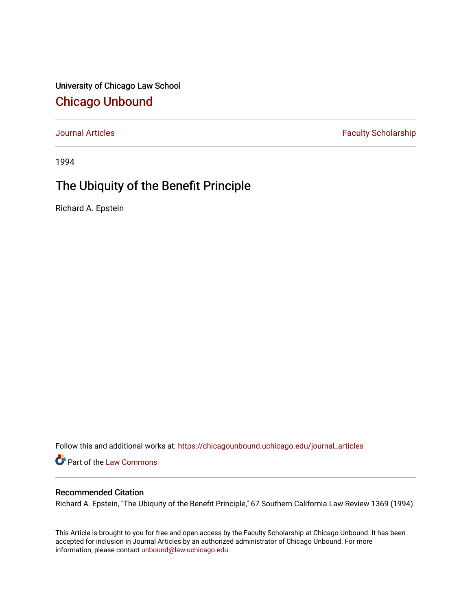University of Chicago Law School [Chicago Unbound](https://chicagounbound.uchicago.edu/)

[Journal Articles](https://chicagounbound.uchicago.edu/journal_articles) **Faculty Scholarship Faculty Scholarship** 

1994

## The Ubiquity of the Benefit Principle

Richard A. Epstein

Follow this and additional works at: [https://chicagounbound.uchicago.edu/journal\\_articles](https://chicagounbound.uchicago.edu/journal_articles?utm_source=chicagounbound.uchicago.edu%2Fjournal_articles%2F1317&utm_medium=PDF&utm_campaign=PDFCoverPages) 

Part of the [Law Commons](http://network.bepress.com/hgg/discipline/578?utm_source=chicagounbound.uchicago.edu%2Fjournal_articles%2F1317&utm_medium=PDF&utm_campaign=PDFCoverPages)

## Recommended Citation

Richard A. Epstein, "The Ubiquity of the Benefit Principle," 67 Southern California Law Review 1369 (1994).

This Article is brought to you for free and open access by the Faculty Scholarship at Chicago Unbound. It has been accepted for inclusion in Journal Articles by an authorized administrator of Chicago Unbound. For more information, please contact [unbound@law.uchicago.edu](mailto:unbound@law.uchicago.edu).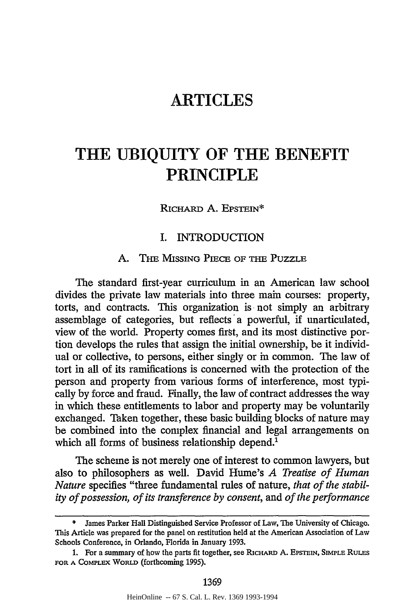## **ARTICLES**

# **THE UBIQUITY OF THE BENEFIT PRINCIPLE**

RicHARD A. EPSTEIN\*

#### I. INTRODUCTION

## A. THE MIssiNG, PIECE OF **THE** PUZZLE

The standard first-year curriculum in an American law school divides the private law materials into three main courses: property, torts, and contracts. This organization is not simply an arbitrary assemblage of categories, but reflects a powerful, if unarticulated, view of the world. Property comes first, and its most distinctive portion develops the rules that assign the initial ownership, be it individual or collective, to persons, either singly or in common. The law of tort in all of its ramifications is concerned with the protection of the person and property from various forms of interference, most typically by force and fraud. Finally, the law of contract addresses the way in which these entitlements to labor and property may be voluntarily exchanged. Taken together, these basic building blocks of nature may be combined into the complex financial and legal arrangements on which all forms of business relationship depend.<sup>1</sup>

The scheme is not merely one of interest to common lawyers, but also to philosophers as well. David Hume's *A Treatise of Human Nature* specifies "three fundamental rules of nature, *that of the stability of possession, of its transference by consent,* and *of the performance*

James Parker Hall Distinguished Service Professor of Law, The University of Chicago. This Article was prepared for the panel on restitution held at the American Association of Law Schools Conference, in Orlando, Florida in January 1993.

<sup>1.</sup> For a summary of how the parts fit together, see RicHARD **A.** EPsTEIN, **SIMPLE** RuLEs **FOR A COMPLEX** WORLD (forthcoming 1995).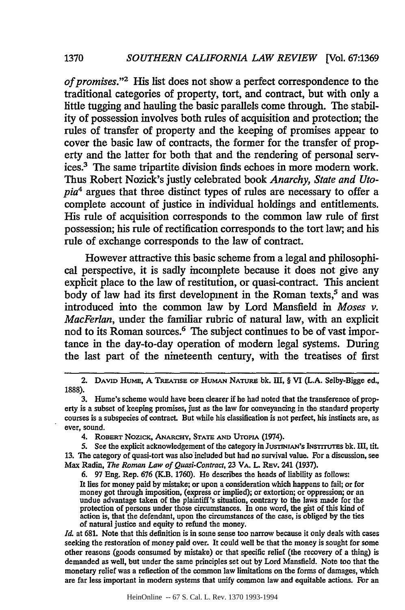**1370**

*of promises."2* His list does not show a perfect correspondence to the traditional categories of property, tort, and contract, but with only a little tugging and hauling the basic parallels come through. The stability of possession involves both rules of acquisition and protection; the rules of transfer of property and the keeping of promises appear to cover the basic law of contracts, the former for the transfer of property and the latter for both that and the rendering of personal services.3 The same tripartite division finds echoes in more modem work. Thus Robert Nozick's justly celebrated book *Anarchy, State and Utopia4* argues that three distinct types of rules are necessary to offer a complete account of justice in individual holdings and entitlements. His rule of acquisition corresponds to the common law rule of first possession; his rule of rectification corresponds to the tort law; and his rule of exchange corresponds to the law of contract.

However attractive this basic scheme from a legal and philosophical perspective, it is sadly incomplete because it does not give any explicit place to the law of restitution, or quasi-contract. This ancient body of law had its first development in the Roman texts,<sup>5</sup> and was introduced into the common law **by** Lord Mansfield in *Moses v. MacFerlan,* under the familiar rubric of natural law, with an explicit nod to its Roman sources.<sup>6</sup> The subject continues to be of vast importance in the day-to-day operation of modem legal systems. During the last part of the nineteenth century, with the treatises of first

6. 97 Eng. Rep. 676 (K.B. 1760). He describes the heads of liability as follows: It lies for money paid by mistake; or upon a consideration which happens to fail; or for money got through imposition, (express or implied); or extortion; or oppression; or an undue advantage taken of the plaintiff's situation, contrary to the laws made for the protection of persons under those circumstances. In one word, the gist of this kind of action is, that the defendant, upon the circumstances of the case, is obliged **by** the ties of natural justice and equity to refund the money.

*Id.* at 681. Note that this definition is in some sense too narrow because it only deals with cases seeking the restoration of money paid over. It could well be that the money is sought for some other reasons (goods consumed by mistake) or that specific relief (the recovery of a thing) is demanded as well, but under the same principles set out by Lord Mansfield. Note too that the monetary relief was a reflection of the common law limitations on the forms of damages, which are far less important in modem systems that unify common law and equitable actions. For an

HeinOnline -- 67 S. Cal. L. Rev. 1370 1993-1994

<sup>2.</sup> **DAVID** HumE, A TIREATsE **OF** HumAN **NATUR bk. III,** § VI **(L.A.** Selby-Bigge ed., 1888).

<sup>3.</sup> Hume's scheme would have been clearer if he had noted that the transference of property is a subset of keeping promises, just as the law for conveyancing in the standard property courses is a subspecies of contract. But while his classification is not perfect, his instincts are, as ever, sound.

<sup>4.</sup> **ROBERT** Nozic,, **ANARCHY, STATE AND UTOPIA** (1974).

<sup>5.</sup> See the explicit acknowledgement of the category in **JUsTINIAN'S** INsTrruTEs bk. III, tit. 13. The category of quasi-tort was also included but had no survival value. For a discussion, see Max Radin, *The Roman Law of Quasi-Contract,* 23 **VA.** L. REv. 241 (1937).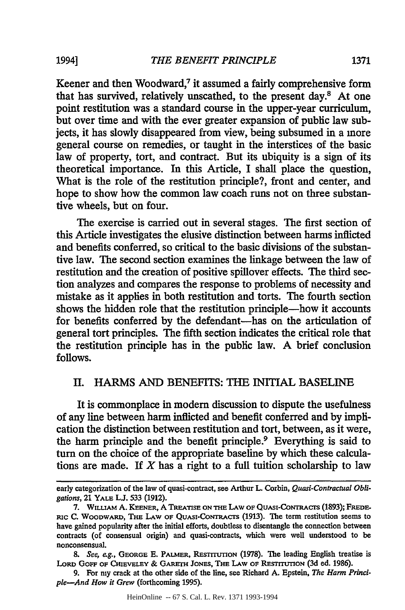Keener and then Woodward,<sup>7</sup> it assumed a fairly comprehensive form that has survived, relatively unscathed, to the present day.8 At one point restitution was a standard course in the upper-year curriculum, but over time and with the ever greater expansion of public law subjects, it has slowly disappeared from view, being subsumed in a more general course on remedies, or taught in the interstices of the basic law of property, tort, and contract. But its ubiquity is a sign of its theoretical importance. In this Article, I shall place the question, What is the role of the restitution principle?, front and center, and hope to show how the common law coach runs not on three substantive wheels, but on four.

The exercise is carried out in several stages. The first section of this Article investigates the elusive distinction between harms inflicted and benefits conferred, so critical to the basic divisions of the substantive law. The second section examines the linkage between the law of restitution and the creation of positive spillover effects. The third section analyzes and compares the response to problems of necessity and mistake as it applies in both restitution and torts. The fourth section shows the hidden role that the restitution principle-how it accounts for benefits conferred by the defendant-has on the articulation of general tort principles. The fifth section indicates the critical role that the restitution principle has in the public law. A brief conclusion follows.

### II. HARMS AND BENEFITS: **THE** INITIAL BASELINE

It is commonplace in modem discussion to dispute the usefulness of any line between harm inflicted and benefit conferred and by implication the distinction between restitution and tort, between, as it were, the harm principle and the benefit principle.<sup>9</sup> Everything is said to turn on the choice of the appropriate baseline by which these calculations are made. If *X* has a right to a full tuition scholarship to law

early categorization of the law of quasi-contract, see Arthur L. Corbin, *Quasi-Contractual Obligations,* 21 YALE **U. 533 (1912).**

**<sup>7.</sup>** WILUAM **A. KEENER,** A **TREATISE ON THE** LAW OF QUASI-CONTRACTs **(1893); FREDE-RIC C.** WOODWARI), **THE** LAW **OF** QUASI-CONTRACTS (1913). The term restitution seems to have gained popularity after the initial efforts, doubtless to disentangle the connection between contracts (of consensual origin) and quasi-contracts, which were well understood to be nonconsensual.

**<sup>8.</sup>** *See, eg.,* **GEORGE E. PALMER, RESTruTxION** (1978). The leading English treatise is LORD GOFF OF CHIEVELEY & GARETH JONES, THE LAW OF RESTITUTION (3d ed. 1986).

<sup>9.</sup> For my crack at the other side of the line, see Richard A. Epstein, *The Harm Principle-And How it Grew* (forthcoming 1995).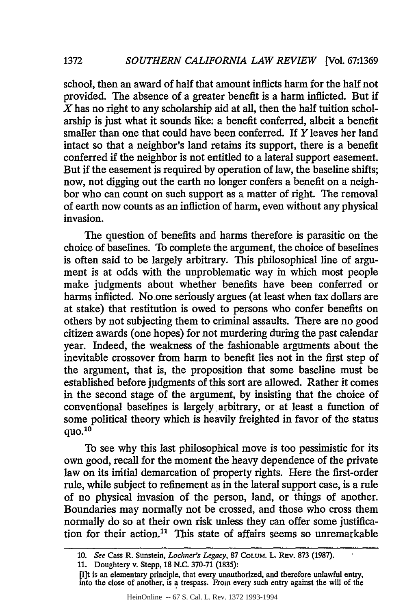**1372**

school, then an award of half that amount inflicts harm for the half not provided. The absence of a greater benefit is a harm inflicted. But if *X* has no right to any scholarship aid at all, then the half tuition scholarship is just what it sounds like: a benefit conferred, albeit a benefit smaller than one that could have been conferred. If Y leaves her land intact so that a neighbor's land retains its support, there is a benefit conferred if the neighbor is not entitled to a lateral support easement. But if the easement is required by operation of law, the baseline shifts; now, not digging out the earth no longer confers a benefit on a neighbor who can count on such support as a matter of right. The removal of earth now counts as an infliction of harm, even without any physical invasion.

The question of benefits and harms therefore is parasitic on the choice of baselines. To complete the argument, the choice of baselines is often said to be largely arbitrary. This philosophical line of argument is at odds with the unproblematic way in which most people make judgments about whether benefits have been conferred or harms inflicted. No one seriously argues (at least when tax dollars are at stake) that restitution is owed to persons who confer benefits on others by not subjecting them to criminal assaults. There are no good citizen awards (one hopes) for not murdering during the past calendar year. Indeed, the weakness of the fashionable arguments about the inevitable crossover from harm to benefit lies not in the first step of the argument, that is, the proposition that some baseline must be established before judgments of this sort are allowed. Rather it comes in the second stage of the argument, by insisting that the choice of conventional baselines is largely arbitrary, or at least a function of some political theory which is heavily freighted in favor of the status quo. $10$ 

To see why this last philosophical move is too pessimistic for its own good, recall for the moment the heavy dependence of the private law on its initial demarcation of property rights. Here the first-order rule, while subject to refinement as in the lateral support case, is a rule of no physical invasion of the person, land, or things of another. Boundaries may normally not be crossed, and those who cross them normally do so at their own risk unless they can offer some justification for their action.<sup>11</sup> This state of affairs seems so unremarkable

[I]t is an elementary principle, that every unauthorized, and therefore unlawful entry, into the close of another, is a trespass. From every such entry against the will of the

**<sup>10.</sup>** *See* Cass R. Sunstein, *Lochner's Legacy,* **87** COLUM. L. Rev. **873** (1987).

<sup>11.</sup> Doughtery v. Stepp, 18 N.C. 370-71 (1835):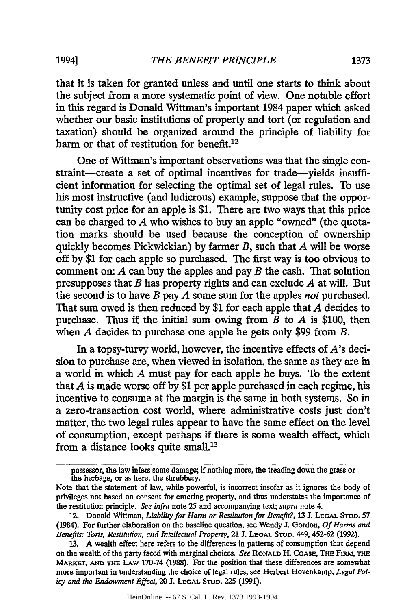that it is taken for granted unless and until one starts to think about the subject from a more systematic point of view. One notable effort in this regard is Donald Wittman's important 1984 paper which asked whether our basic institutions of property and tort (or regulation and taxation) should be organized around the principle of liability for harm or that of restitution for benefit. $12$ 

One of Wittman's important observations was that the single constraint-create a set of optimal incentives for trade-yields insufficient information for selecting the optimal set of legal rules. To use his most instructive (and ludicrous) example, suppose that the opportunity cost price for an apple is \$1. There are two ways that this price can be charged to *A* who wishes to buy an apple "owned" (the quotation marks should be used because the conception of ownership quickly becomes Pickwickian) by farmer *B,* such that *A* will be worse off by \$1 for each apple so purchased. The first way is too obvious to comment on: *A* can buy the apples and pay *B* the cash. That solution presupposes that *B* has property rights and can exclude *A* at will. But the second is to have *B* pay *A* some sum for the apples *not* purchased. That sum owed is then reduced by \$1 for each apple that *A* decides to purchase. Thus if the initial sum owing from *B* to *A* is \$100, then when *A* decides to purchase one apple he gets only \$99 from *B.*

In a topsy-turvy world, however, the incentive effects of  $A$ 's decision to purchase are, when viewed in isolation, the same as they are in a world in which *A* must pay for each apple he buys. To the extent that *A* is made worse off by \$1 per apple purchased in each regime, his incentive to consume at the margin is the same in both systems. So in a zero-transaction cost world, where administrative costs just don't matter, the two legal rules appear to have the same effect on the level of consumption, except perhaps if there is some wealth effect, which from a distance looks quite small.'<sup>3</sup>

possessor, the law infers some damage; if nothing more, the treading down the grass or the herbage, or as here, the shrubbery.

Note that the statement of law, while powerful, is incorrect insofar as it ignores the body of privileges not based on consent for entering property, and thus understates the importance of the restitution principle. *See infra* note 25 and accompanying text; *supra* note 4.

<sup>12.</sup> Donald Wittman, *Liability for Harm or Restitution for Benefit?,* 13 J. **LEGAL** STUD. 57 (1984). For further elaboration on the baseline question, see Wendy J. Gordon, *Of Harms and Benefits: Torts, Restitution, and Intellectual Property,* 21 J. **LEGAL STUD.** 449, 452-62 (1992).

<sup>13.</sup> A wealth effect here refers to the differences in patterns of consumption that depend on the wealth of the party faced with marginal choices. See RONALD H. COASE, THE FIRM, THE MARKET, AND THE LAW 170-74 (1988). For the position that these differences are somewhat more important in understanding the choice of legal rules, see Herbert Hovenkamp, *Legal Policy and the Endowment Effect,* 20 J. **LEGAL** STUD. 225 (1991).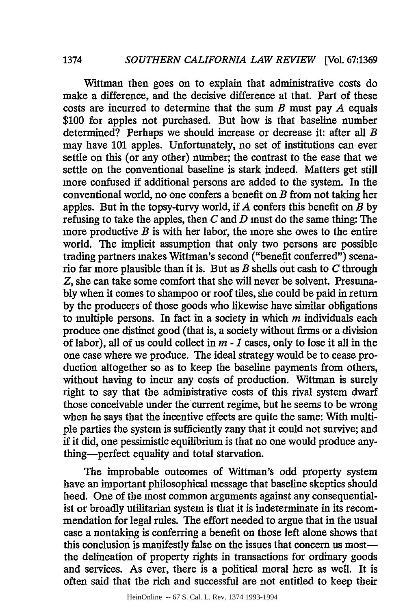Wittman then goes on to explain that administrative costs do make a difference, and the decisive difference at that. Part of these costs are incurred to determine that the sum *B* must pay *A* equals \$100 for apples not purchased. But how is that baseline number determined? Perhaps we should increase or decrease it: after all *B* may have 101 apples. Unfortunately, no set of institutions can ever settle on this (or any other) number; the contrast to the ease that we settle on the conventional baseline is stark indeed. Matters get still more confused if additional persons are added to the system. In the conventional world, no one confers a benefit on *B* from not taking her apples. But in the topsy-turvy world, if *A* confers this benefit on *B* by refusing to take the apples, then *C* and *D* must do the same thing: The more productive *B* is with her labor, the more she owes to the entire world. The implicit assumption that only two persons are possible trading partners makes Wittman's second ("benefit conferred") scenario far more plausible than it is. But as *B* shells out cash to *C* through *Z,* she can take some comfort that she will never be solvent. Presumably when it comes to shampoo or roof tiles, she could be paid in return by the producers of those goods who likewise have similar obligations to multiple persons. In fact in a society in which *m* individuals each produce one distinct good (that is, a society without firms or a division of labor), all of us could collect in *m* - *1* cases, only to lose it all in the one case where we produce. The ideal strategy would be to cease production altogether so as to keep the baseline payments from others, without having to incur any costs of production. Wittman is surely right to say that the administrative costs of this rival system dwarf those conceivable under the current regime, but he seems to be wrong when he says that the incentive effects are quite the same: With multiple parties the system is sufficiently zany that it could not survive; and if it did, one pessimistic equilibrium is that no one would produce anything-perfect equality and total starvation.

The improbable outcomes of Wittman's odd property system have an important philosophical message that baseline skeptics should heed. One of the most common arguments against any consequentialist or broadly utilitarian system is that it is indeterminate in its recommendation for legal rules. The effort needed to argue that in the usual case a nontakipg is conferring a benefit on those left alone shows that this conclusion is manifestly false on the issues that concern us mostthe delineation of property rights in transactions for ordinary goods and services. As ever, there is a political moral here as well. It is often said that the rich and successful are not entitled to keep their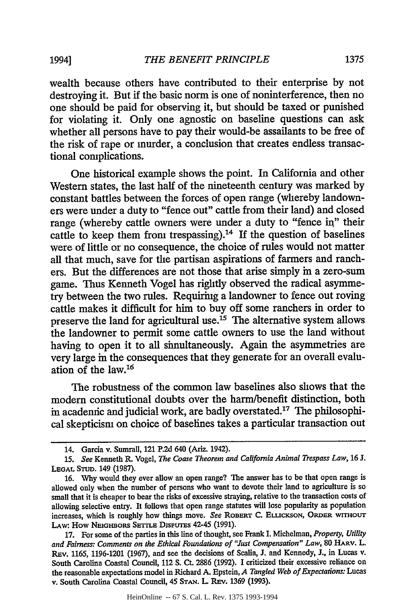wealth because others have contributed to their enterprise by not destroying it. But if the basic norm is one of noninterference, then no one should be paid for observing it, but should be taxed or punished for violating it. Only one agnostic on baseline questions can ask whether all persons have to pay their would-be assailants to be free of the risk of rape or murder, a conclusion that creates endless transactional complications.

One historical example shows the point. In California and other Western states, the last half of the nineteenth century was marked by constant battles between the forces of open range (whereby landowners were under a duty to "fence out" cattle from their land) and closed range (whereby cattle owners were under a duty to "fence in" their cattle to keep them from trespassing).<sup>14</sup> If the question of baselines were of little or no consequence, the choice of rules would not matter all that much, save for the partisan aspirations of farmers and ranchers. But the differences are not those that arise simply in a zero-sum game. Thus Kenneth Vogel has rightly observed the radical asymmetry between the two rules. Requiring a landowner to fence out roving cattle makes it difficult for him to buy off some ranchers in order to preserve the land for agricultural use.15 The alternative system allows the landowner to permit some cattle owners to use the land without having to open it to all simultaneously. Again the asymmetries are very large in the consequences that they generate for an overall evaluation of the law.<sup>16</sup>

The robustness of the common law baselines also shows that the modern constitutional doubts over the harm/benefit distinction, both in acadennic and judicial work, are badly overstated.<sup>17</sup> The philosophical skepticism on choice of baselines takes a particular transaction out

<sup>14.</sup> Garcia v. Sumrall, 121 P.2d 640 (Ariz. 1942).

*<sup>15.</sup> See* Kenneth R. Vogel, *The Coase Theorem and California Animal Trespass Law,* 16 J. **LEGAL STUD.** 149 (1987).

<sup>16.</sup> Why would they ever allow an open range? The answer has to be that open range is allowed only when the number of persons who want to devote their land to agriculture is so small that it is cheaper to bear the risks of excessive straying, relative to the transaction costs **of** allowing selective entry. It follows that open range statutes will lose popularity as population increases, which is roughly how things move. *See* **ROBERT** C. **ELLiCKSON,** ORDER **wrmotUT** LAW: How NEIGHBORS SETTLE DISPUTES 42-45 (1991).

<sup>17.</sup> For some of the parties in this line of thought, see Frank I. Michelman, *Property, Utility and Fairness: Comments on the Ethical Foundations of "Just Compensation" Law,* <sup>80</sup>**HARv.** L. REv. 1165, 1196-1201 (1967), and see the decisions of Scalia, J. and Kennedy, **J.,** in Lucas v. South Carolina Coastal Council, 112 **S.** Ct. 2886 (1992). I criticized their excessive reliance on the reasonable expectations model in Richard A. Epstein, *A Tangled Web of Expectations:* Lucas v. South Carolina Coastal Council, 45 STAN. L. REV. 1369 (1993).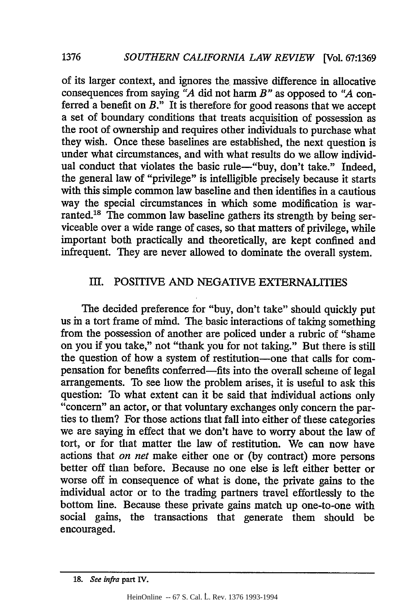of its larger context, and ignores the massive difference in allocative consequences from saying *"A* did not harm *B"* as opposed to *"A* conferred a benefit on *B."* It is therefore for good reasons that we accept a set of boundary conditions that treats acquisition of possession as the root of ownership and requires other individuals to purchase what they wish. Once these baselines are established, the next question is under what circumstances, and with what results do we allow individual conduct that violates the basic rule-"buy, don't take." Indeed, the general law of "privilege" is intelligible precisely because it starts with this simple common law baseline and then identifies in a cautious way the special circumstances in which some modification is warranted.<sup>18</sup> The common law baseline gathers its strength by being serviceable over a wide range of cases, so that matters of privilege, while important both practically and theoretically, are kept confined and infrequent. They are never allowed to dominate the overall system.

## III. POSITIVE AND NEGATIVE EXTERNALITIES

The decided preference for "buy, don't take" should quickly put us in a tort frame of mind. The basic interactions of taking something from the possession of another are policed under a rubric of "shame on you if you take," not "thank you for not taking." But there is still the question of how a system of restitution-one that calls for compensation for benefits conferred-fits into the overall scheme of legal arrangements. To see how the problem arises, it is useful to ask this question: To what extent can it be said that individual actions only "concern" an actor, or that voluntary exchanges only concern the parties to them? For those actions that fall into either of these categories we are saying in effect that we don't have to worry about the law of tort, or for that matter the law of restitution. We can now have actions that *on net* make either one or (by contract) more persons better off than before. Because no one else is left either better or worse off in consequence of what is done, the private gains to the individual actor or to the trading partners travel effortlessly to the bottom line. Because these private gains match up one-to-one with social gains, the transactions that generate them should be encouraged.

**1376**

**<sup>18.</sup>** See infra part **IV.**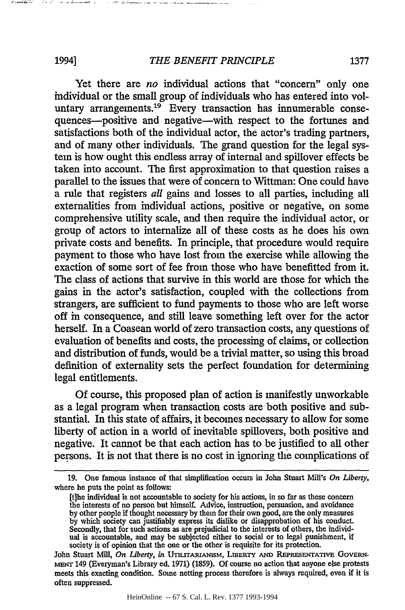Yet there are *no* individual actions that "concern" only one individual or the small group of individuals who has entered into voluntary arrangements.<sup>19</sup> Every transaction has innumerable consequences—positive and negative—with respect to the fortunes and satisfactions both of the individual actor, the actor's trading partners, and of many other individuals. The grand question for the legal system is how ought this endless array of internal and spillover effects be taken into account. The first approximation to that question raises a parallel to the issues that were of concern to Wittman: One could have a rule that registers *all* gains and losses to all parties, including all externalities from individual actions, positive or negative, on some comprehensive utility scale, and then require the individual actor, or group of actors to internalize all of these costs as he does his own private costs and benefits. In principle, that procedure would require payment to those who have lost from the exercise while allowing the exaction of some sort of fee from those who have benefitted from it. The class of actions that survive in this world are those for which the gains in the actor's satisfaction, coupled with the collections from strangers, are sufficient to fund payments to those who are left worse off in consequence, and still leave something left over for the actor herself. In a Coasean world of zero transaction costs, any questions of evaluation of benefits and costs, the processing of claims, or collection and distribution of funds, would be a trivial matter, so using this broad definition of externality sets the perfect foundation for determining legal entitlements.

**Of** course, this proposed plan of action is manifestly unworkable as a legal program when transaction costs are both positive and substantial. In this state of affairs, it becomes necessary to allow for some liberty of action in a world of inevitable spillovers, both positive and negative. It cannot be that each action has to be justified to all other persons. It is not that there is no cost in ignoring the complications of

المتعص

HeinOnline -- 67 S. Cal. L. Rev. 1377 1993-1994

**<sup>19.</sup>** One famous instance of that simplification occurs in John Stuart Mill's *On Liberty,* where he puts the point as follows:

ft]he individual is not accountable to society for his actions, in so far as these concern the interests of no person but himself. Advice, instruction, persuasion, and avoidance by other people if thought necessary by them for their own good, are the only measures by which society can justifiably express its dislike or disapprobation of his conduct. Secondly, that for such actions as are prejudicial to the interests of others, the individual is accountable, and may be subjected either to social or to legal punishment, if society is of opinion that the one or the other is requisite for its protection.

John Stuart Mill, *On Liberty, in* UTILITARIANISM, LIBERTY AND REPRESENTATIVE GOVERNmENT 149 (Everyman's Library ed. 1971) (1859). Of course no action that anyone else protests meets this exacting condition. Some netting process therefore is always required, even if it is often suppressed.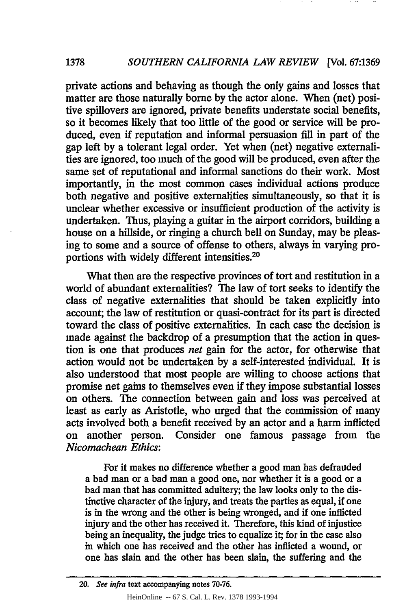private actions and behaving as though the only gains and losses that matter are those naturally borne **by** the actor alone. When (net) positive spillovers are ignored, private benefits understate social benefits, so it becomes likely that too little of the good or service will be produced, even if reputation and informal persuasion **fill** in part of the gap left **by** a tolerant legal order. Yet when (net) negative externalities are ignored, too much of the good will be produced, even after the same set of reputational and informal sanctions do their work. Most importantly, in the most common cases individual actions produce both negative and positive externalities simultaneously, so that it is unclear whether excessive or insufficient production of the activity is undertaken. Thus, playing a guitar in the airport corridors, building a house on a hillside, or ringing a church bell on Sunday, may be pleasing to some and a source of offense to others, always in varying proportions with widely different intensities.<sup>20</sup>

What then are the respective provinces of tort and restitution in a world of abundant externalities? The law of tort seeks to identify the class of negative externalities that should be taken explicitly into account; the law of restitution or quasi-contract for its part is directed toward the class of positive externalities. In each case the decision is made against the backdrop of a presumption that the action in question is one that produces *net* gain for the actor, for otherwise that action would not be undertaken **by** a self-interested individual. It is also understood that most people are willing to choose actions that promise net gains to themselves even if they impose substantial losses on others. The connection between gain and loss was perceived at least as early as Aristotle, who urged that the commission of many acts involved both a benefit received by an actor and a harm inflicted on another person. Consider one famous passage from the *Nicomachean Ethics:*

For it makes no difference whether a good man has defrauded a bad man or a bad man a good one, nor whether it is a good or a bad man that has committed adultery; the law looks only to the distinctive character of the injury, and treats the parties as equal, if one is in the wrong and the other is being wronged, and if one inflicted injury and the other has received it. Therefore, this kind of injustice being an inequality, the judge tries to equalize it; for in the case also in which one has received and the other has inflicted a wound, or one has slain and the other has been slain, the suffering and the

**<sup>20.</sup> See infra** text accompanying notes **70-76.** HeinOnline -- 67 S. Cal. L. Rev. 1378 1993-1994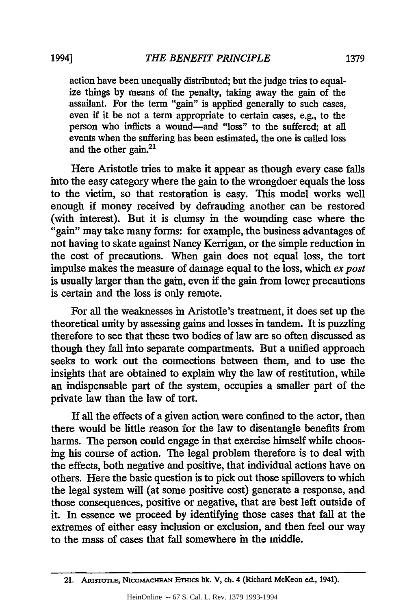action have been unequally distributed; but the judge tries to equalize things by means of the penalty, taking away the gain of the assailant. For the term "gain" is applied generally to such cases, even if it be not a term appropriate to certain cases, e.g., to the person who inflicts a wound-and "loss" to the suffered; at all events when the suffering has been estimated, the one is called loss and the other **gain.21**

Here Aristotle tries to make it appear as though every case falls into the easy category where the gain to the wrongdoer equals the loss to the victim, so that restoration is easy. This model works well enough if money received by defrauding another can be restored (with interest). But it is clumsy in the wounding case where the "gain" may take many forms: for example, the business advantages of not having to skate against Nancy Kerrigan, or the simple reduction in the cost of precautions. When gain does not equal loss, the tort impulse makes the measure of damage equal to the loss, which *ex post* is usually larger than the gain, even if the gain from lower precautions is certain and the loss is only remote.

For all the weaknesses in Aristotle's treatment, it does set up the theoretical unity by assessing gains and losses in tandem. It is puzzling therefore to see that these two bodies of law are so often discussed as though they fall into separate compartments. But a unified approach seeks to work out the connections between them, and to use the insights that are obtained to explain why the law of restitution, while an indispensable part of the system, occupies a smaller part of the private law than the law of tort.

If all the effects of a given action were confined to the actor, then there would be little reason for the law to disentangle benefits from harms. The person could engage in that exercise himself while choosing his course of action. The legal problem therefore is to deal with the effects, both negative and positive, that individual actions have on others. Here the basic question is to pick out those spillovers to which the legal system will (at some positive cost) generate a response, and those consequences, positive or negative, that are best left outside of it. In essence we proceed by identifying those cases that fall at the extremes of either easy inclusion or exclusion, and then feel our way to the mass of cases that fall somewhere in the middle.

<sup>21.</sup> ARISTOTLE, NICOMACHEAN ETHICS bk. V, ch. 4 (Richard McKeon ed., 1941).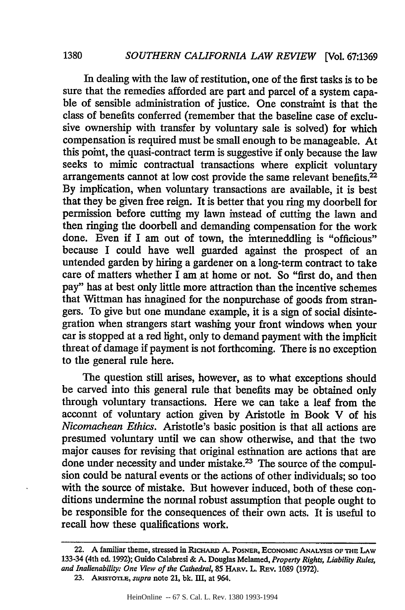In dealing with the law of restitution, one of the first tasks is to be sure that the remedies afforded are part and parcel of a system capable of sensible administration of justice. One constraint is that the class of benefits conferred (remember that the baseline case of exclusive ownership with transfer by voluntary sale is solved) for which compensation is required must be small enough to be manageable. At this point, the quasi-contract term is suggestive if only because the law seeks to mimic contractual transactions where explicit voluntary arrangements cannot at low cost provide the same relevant benefits.<sup>22</sup> By implication, when voluntary transactions are available, it is best that they be given free reign. It is better that you ring my doorbell for permission before cutting my lawn instead of cutting the lawn and then ringing the doorbell and demanding compensation for the work done. Even if I am out of town, the intermeddling is "officious" because I could have well guarded against the prospect of an untended garden by hiring a gardener on a long-term contract to take care of matters whether I am at home or not. So "first do, and then pay" has at best only little more attraction than the incentive schemes that Wittman has imagined for the nonpurchase of goods from strangers. To give but one mundane example, it is a sign of social disintegration when strangers start washing your front windows when your car is stopped at a red light, only to demand payment with the implicit threat of damage if payment is not forthcoming. There is no exception to the general rule here.

The question still arises, however, as to what exceptions should be carved into this general rule that benefits may be obtained only through voluntary transactions. Here we can take a leaf from the acconnt of voluntary action given by Aristotle in Book V of his *Nicomachean Ethics.* Aristotle's basic position is that all actions are presumed voluntary until we can show otherwise, and that the two major causes for revising that original estimation are actions that are done under necessity and under mistake.<sup>23</sup> The source of the compulsion could be natural events or the actions of other individuals; so too with the source of mistake. But however induced, both of these conditions undermine the normal robust assumption that people ought to be responsible for the consequences of their own acts. It is useful to recall how these qualifications work.

23. ARISTOTLE, *supra* note 21, bk. III, at 964.

<sup>22.</sup> **A** familiar theme, stressed in RicHARD **A. POSNER, ECONOMIC ANALYSIS OF THE LAW** 133-34 (4th ed. **1992);** Guido Calabresi **& A.** Douglas Melamed, *Property Rights, Liability Rules, and Inalienability: One View of the Cathedral,* 85 HARv. L. REv. 1089 (1972).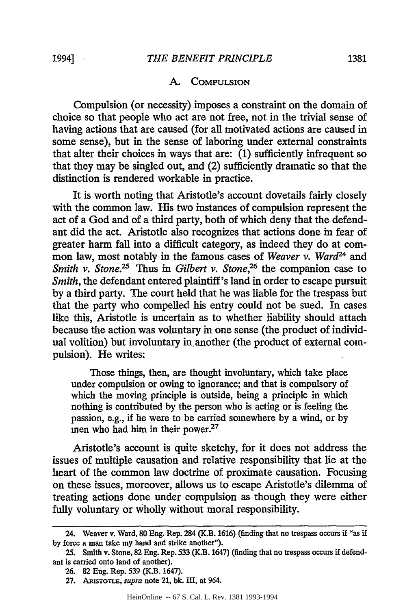#### A. COMPULSION

Compulsion (or necessity) imposes a constraint on the domain of choice so that people who act are not free, not in the trivial sense of having actions that are caused (for all motivated actions are caused in some sense), but in the sense of laboring under external constraints that alter their choices in ways that are:  $(1)$  sufficiently infrequent so that they may be singled out, and (2) sufficiently dramatic so that the distinction is rendered workable in practice.

It is worth noting that Aristotle's account dovetails fairly closely with the common law. His two instances of compulsion represent the act of a God and of a third party, both of which deny that the defendant did the act. Aristotle also recognizes that actions done in fear of greater harm fall into a difficult category, as indeed they do at common law, most notably in the famous cases of *Weaver v. Ward24* and *Smith v. Stone.*<sup>25</sup> Thus in *Gilbert v. Stone*,<sup>26</sup> the companion case to *Smith*, the defendant entered plaintiff's land in order to escape pursuit **by** a third party. The court held that he was liable for the trespass but that the party who compelled his entry could not be sued. In cases like this, Aristotle is uncertain as to whether liability should attach because the action was voluntary in one sense (the product of individual volition) but involuntary in another (the product of external compulsion). He writes:

Those things, then, are thought involuntary, which take place under compulsion or owing to ignorance; and that is compulsory of which the moving principle is outside, being a principle in which nothing is contributed by the person who is acting or is feeling the passion, e.g., if he were to be carried somewhere by a wind, or by men who had him in their power.27

Aristotle's account is quite sketchy, for it does not address the issues of multiple causation and relative responsibility that lie at the heart of the common law doctrine of proximate causation. Focusing on these issues, moreover, allows us to escape Aristotle's dilemma of treating actions done under compulsion as though they were either fully voluntary or wholly without moral responsibility.

<sup>24.</sup> Weaver v. Ward, **s0** Eng. Rep. 284 (K.B. 1616) (finding that no trespass occurs if "as if **by** force a man take my hand and strike another").

<sup>25.</sup> Smith v. Stone, 82 Eng. Rep. 533 (K.B. 1647) (finding that no trespass occurs if defendant is carried onto land of another).

<sup>26. 82</sup> Eng. Rep. 539 (K.B. 1647).

<sup>27.</sup> ARISTOTLE, *supra* note 21, bk. III, at 964.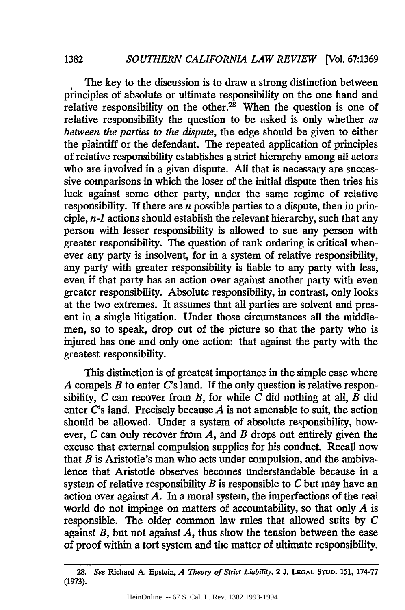The key to the discussion is to draw a strong distinction between principles of absolute or ultimate responsibility on the one hand and relative responsibility on the other.<sup>28</sup> When the question is one of relative responsibility the question to be asked is only whether *as between the parties to the dispute,* the edge should be given to either the plaintiff or the defendant. The repeated application of principles of relative responsibility establishes a strict hierarchy among all actors who are involved in a given dispute. All that is necessary are successive comparisons in which the loser of the initial dispute then tries his luck against some other party, under the same regime of relative responsibility. If there are *n* possible parties to a dispute, then in principle, *n-1* actions should establish the relevant hierarchy, such that any person with lesser responsibility is allowed to sue any person with greater responsibility. The question of rank ordering is critical whenever any party is insolvent, for in a system of relative responsibility, any party with greater responsibility is liable to any party with less, even if that party has an action over against another party with even greater responsibility. Absolute responsibility, in contrast, only looks at the two extremes. It assumes that all parties are solvent and present in a single litigation. Under those circumstances all the middlemen, so to speak, drop out of the picture so that the party who is injured has one and only one action: that against the party with the greatest responsibility.

This distinction is of greatest importance in the simple case where *A* compels *B* to enter *C's* land. If the only question is relative responsibility, *C* can recover from *B,* for while *C* did nothing at all, *B* did enter *C's* land. Precisely because *A* is not amenable to suit, the action should be allowed. Under a system of absolute responsibility, however, *C* can only recover from *A,* and *B* drops out entirely given the excuse that external compulsion supplies for his conduct. Recall now that *B* is Aristotle's man who acts under compulsion, and the ambivalence that Aristotle observes becomes understandable because in a system of relative responsibility *B* is responsible to *C* but may have an action over against *A.* In a moral system, the imperfections of the real world do not impinge on matters of accountability, so that only *A* is responsible. The older common law rules that allowed suits by *C* against *B,* but not against *A,* thus show the tension between the ease of proof within a tort system and the matter of ultimate responsibility.

*<sup>28.</sup> See* Richard **A.** Epstein, *A Theory of Strict Liability,* **2 J. LEGAL STUD. 151, 174-77 (1973).**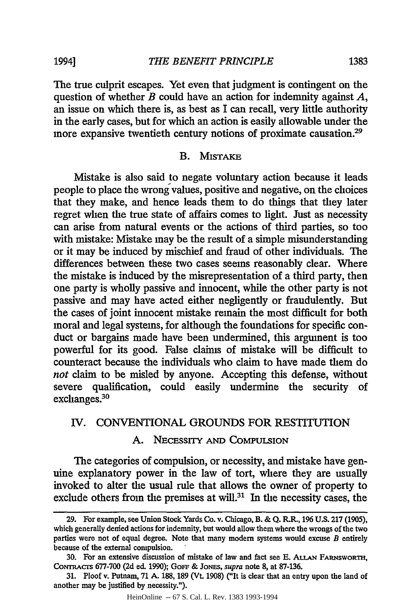The true culprit escapes. Yet even that judgment is contingent on the question of whether *B* could have an action for indemnity against *A,* an issue on which there is, as best as I can recall, very little authority in the early cases, but for which an action is easily allowable under the more expansive twentieth century notions of proximate causation.29

#### B. MISTAKE

Mistake is also said to negate voluntary action because it leads people to place the wrong values, positive and negative, on the choices that they make, and hence leads them to do things that they later regret when the true state of affairs comes to light. Just as necessity can arise from natural events or the actions of third parties, so too with mistake: Mistake may be the result of a simple misunderstanding or it may be induced by mischief and fraud of other individuals. The differences between these two cases seems reasonably clear. Where the mistake is induced by the misrepresentation of a third party, then one party is wholly passive and innocent, while the other party is not passive and may have acted either negligently or fraudulently. But the cases of joint innocent mistake remain the most difficult for both moral and legal systems, for although the foundations for specific conduct or bargains made have been undermined, this argument is too powerful for its good. False claims of mistake will be difficult to counteract because the individuals who claim to have made them do *not* claim to be misled by anyone. Accepting this defense, without severe qualification, could easily undermine the security of exchanges.<sup>30</sup>

## IV. CONVENTIONAL GROUNDS FOR RESTITUTION

### A. NECESSITY **AND COMPULSION**

The categories of compulsion, or necessity, and mistake have genuine explanatory power in the law of tort, where they are usually invoked to alter the usual rule that allows the owner of property to exclude others from the premises at will. $31$  In the necessity cases, the

**<sup>29.</sup>** For example, see Union Stock Yards Co. **v.** Chicago, B. **& Q.** R.R., **196 U.S. 217** (1905), which generally denied actions for indemnity, but would allow them where the wrongs of the two parties were not of equal degree. Note that many modem systems would excuse *B* entirely because of the external compulsion.

<sup>30.</sup> For an extensive discussion of mistake of law and fact see E. **ALLAN FARNSWORTH,** CONTRACTS 677-700 (2d ed. 1990); GOFF & JONES, *supra* note 8, at 87-136.

<sup>31.</sup> Ploof v. Putnam, 71 **A.** 188, 189 (Vt. 1908) ("It is clear that an entry upon the land of another may be justified by necessity.").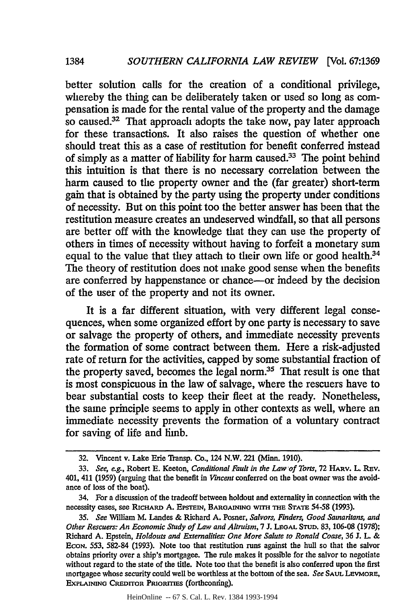*1384*

better solution calls for the creation of a conditional privilege, whereby the thing can be deliberately taken or used so long as compensation is made for the rental value of the property and the damage so caused. $32$  That approach adopts the take now, pay later approach for these transactions. It also raises the question of whether one should treat this as a case of restitution for benefit conferred instead of simply as a matter of liability for harm caused.<sup>33</sup> The point behind this intuition is that there is no necessary correlation between the harm caused to the property owner and the (far greater) short-term gain that is obtained by the party using the property under conditions of necessity. But on this point too the better answer has been that the restitution measure creates an undeserved windfall, so that all persons are better off with the knowledge that they can use the property of others in times of necessity without having to forfeit a monetary sum equal to the value that they attach to their own life or good health.<sup>34</sup> The theory of restitution does not make good sense when the benefits are conferred by happenstance or chance-or indeed by the decision of the user of the property and not its owner.

It is a far different situation, with very different legal consequences, when some organized effort by one party is necessary to save or salvage the property of others, and immediate necessity prevents the formation of some contract between them. Here a risk-adjusted rate of return for the activities, capped **by** some substantial fraction of the property saved, becomes the legal norm.<sup>35</sup> That result is one that is most conspicuous in the law of salvage, where the rescuers have to bear substantial costs to keep their fleet at the ready. Nonetheless, the same principle seems to apply in other contexts as well, where an immediate necessity prevents the formation of a voluntary contract for saving of life and limb.

HeinOnline -- 67 S. Cal. L. Rev. 1384 1993-1994

<sup>32.</sup> Vincent v. Lake Erie Transp. Co., 124 N.W. 221 (Minn. 1910).

<sup>33.</sup> *See,* eg., Robert **E.** Keeton, *Conditional Fault in the Law of Torts,* 72 HARv. L. REv. 401, 411 **(1959)** (arguing that the benefit in *Vincent* conferred on the boat owner was the avoidance of loss of the boat).

<sup>34.</sup> For a discussion of the tradeoff between holdout and externality in connection with the necessity cases, see RicHARD **A. EPsmnI, BARGAINING WITH THE STATE 54-58 (1993).**

*<sup>35.</sup> See* William M. Landes & Richard A. Posner, *Salvors, Finders, Good Samaritans, and Other Rescuers: An Economic Study of Law and Altruism,* 7 **J. LEGAL STUD.** 83, **106-08** (1978); Richard A. Epstein, *Holdouts and Externalities: One More Salute to Ronald Coase,* **36** J. L. & EcoN. 553, 582-84 (1993). Note too that restitution runs against the hull so that the salvor obtains priority over a ship's mortgagee. The rule makes it possible for the salvor to negotiate without regard to the state of the title. Note too that the benefit is also conferred upon the first mortgagee whose security could well be worthless at the bottom of the sea. *See* **SAUL** LEVMORE, **EXPLAINING CREDITOR PRIoRrriES** (forthcoming).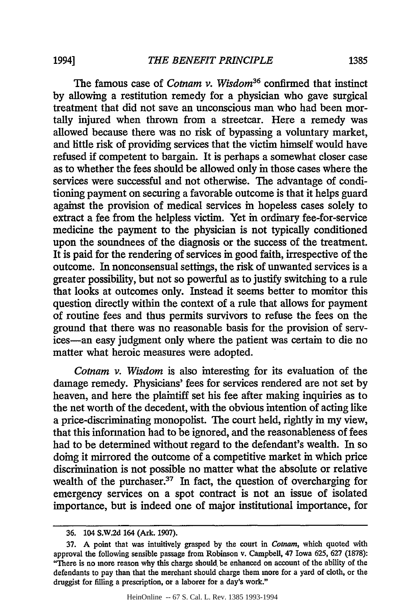The famous case of *Cotnam v. Wisdom36* confirmed that instinct by allowing a restitution remedy for a physician who gave surgical treatment that did not save an unconscious man who had been mortally injured when thrown from a streetcar. Here a remedy was allowed because there was no risk of bypassing a voluntary market, and little risk of providing services that the victim himself would have refused if competent to bargain. It is perhaps a somewhat closer case as to whether the fees should be allowed only in those cases where the services were successful and not otherwise. The advantage of conditioning payment on securing a favorable outcome is that it helps guard against the provision of medical services in hopeless cases solely to extract a fee from the helpless victim. Yet in ordinary fee-for-service medicine the payment to the physician is not typically conditioned upon the soundnees of the diagnosis or the success of the treatment. It is paid for the rendering of services in good faith, irrespective of the outcome. In nonconsensual settings, the risk of unwanted services is a greater possibility, but not so powerful as to justify switching to a rule that looks at outcomes only. Instead it seems better to monitor this question directly within the context of a rule that allows for payment of routine fees and thus permits survivors to refuse the fees on the ground that there was no reasonable basis for the provision of services-an easy judgment only where the patient was certain to die no matter what heroic measures were adopted.

*Cotnam v. Wisdom* is also interesting for its evaluation of the damage remedy. Physicians' fees for services rendered are not set by heaven, and here the plaintiff set his fee after making inquiries as to the net worth of the decedent, with the obvious intention of acting like a price-discriminating monopolist. The court held, rightly in my view, that this information had to be ignored, and the reasonableness of fees had to be determined without regard to the defendant's wealth. In so doing it mirrored the outcome of a competitive market in which price discrimination is not possible no matter what the absolute or relative wealth of the purchaser. $37$  In fact, the question of overcharging for emergency services on a spot contract is not an issue of isolated importance, but is indeed one of major institutional importance, for

**<sup>36.</sup>** 104 **S.W2d** 164 (Ark. 1907).

**<sup>37.</sup>** A point that was intuitively grasped **by** the court in *Cotnam,* which quoted with approval the following sensible passage from Robinson v. Campbell, 47 Iowa **625, 627 (1878):** "There is no more reason why this charge should be enhanced on account of the ability of the defendants to pay than that the merchant should charge them more for a yard of cloth, or the druggist for filling a prescription, or a laborer for a day's work."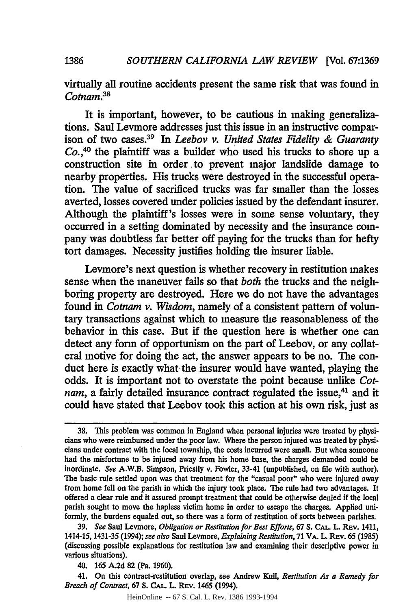virtually all routine accidents present the same risk that was found in *Cotnam.<sup>38</sup>*

It is important, however, to be cautious in making generalizations. Saul Levmore addresses just this issue in an instructive comparison of two cases.39 In *Leebov v. United States Fidelity & Guaranty Co.,40* the plaintiff was a builder who used his trucks to shore up a construction site in order to prevent major landslide damage to nearby properties. His trucks were destroyed in the successful operation. The value of sacrificed trucks was far smaller than the losses averted, losses covered under policies issued by the defendant insurer. Although the plaintiff's losses were in some sense voluntary, they occurred in a setting dominated by necessity and the insurance company was doubtless far better off paying for the trucks than for hefty tort damages. Necessity justifies holding the insurer liable.

Levmore's next question is whether recovery in restitution makes sense when the maneuver fails so that *both* the trucks and the neighboring property are destroyed. Here we do not have the advantages found in *Cotnam v. Wisdom,* namely of a consistent pattern of voluntary transactions against which to measure the reasonableness of the behavior in this case. But if the question here is whether one can detect any form of opportunism on the part of Leebov, or any collateral motive for doing the act, the answer appears to be no. The conduct here is exactly what the insurer would have wanted, playing the odds. It is important not to overstate the point because unlike *Cotnam*, a fairly detailed insurance contract regulated the issue,<sup>41</sup> and it could have stated that Leebov took this action at his own risk, just as

**1386**

**<sup>38.</sup>** 'This problem was common in England when personal injuries were treated **by** physicians who were reimbursed under the poor law. Where the person injured was treated **by** physicians under contract with the local township, the costs incurred were small. But when someone had the misfortune to be injured away from his home base, the charges demanded could be inordinate. *See* A.W.B. Simpson, Priestly v. Fowler, 33-41 (unpublished, on file with author). The basic rule settled upon was that treatment for the "casual poor" who were injured away from home fell on the parish in which the injury took place. The rule had two advantages. It offered a clear rule and it assured prompt treatment that could be otherwise denied if the local parish sought to move the hapless victim home in order to escape the charges. Applied uniformly, the burdens equaled out, so there was a form of restitution of sorts between parishes.

**<sup>39.</sup>** *See* Saul Levmore, *Obligation or Restitution for Best Efforts,* 67 **S. CAL.** L. Ruv. 1411, 1414-15,1431-35 (1994); *see also* Saul Levmore, *Explaining Restitution,* 71 VA. L. **REv.** 65 (1985) (discussing possible explanations for restitution law and examining their descriptive power in various situations).

<sup>40.</sup> **165 A.2d** 82 (Pa. 1960).

<sup>41.</sup> On this contract-restitution overlap, see Andrew Kull, *Restitution As a Remedy for Breach of Contract, 67 S. CAL. L. REV. 1465 (1994).*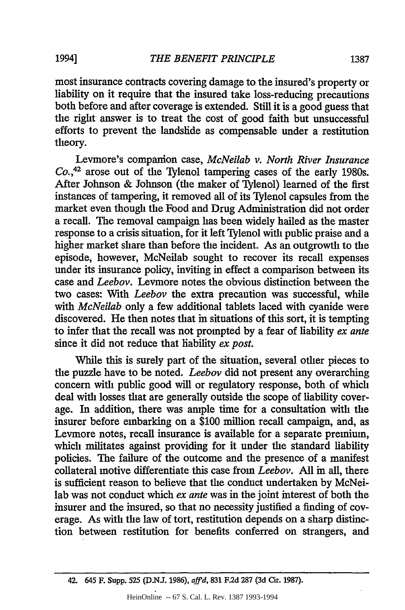most insurance contracts covering damage to the insured's property or liability on it require that the insured take loss-reducing precautions both before and after coverage is extended. Still it is a good guess that the right answer is to treat the cost of good faith but unsuccessful efforts to prevent the landslide as compensable under a restitution theory.

Levmore's companion case, *McNeilab v. North River Insurance Co.,42* arose out of the Tylenol tampering cases of the early 1980s. After Johnson & Johnson (the maker of Tylenol) learned of the first instances of tampering, it removed all of its 'Tylenol capsules from the market even though the Food and Drug Administration did not order a recall. The removal campaign has been widely hailed as the master response to a crisis situation, for it left Tylenol with public praise and a higher market share than before the incident. As an outgrowth to the episode, however, McNeilab sought to recover its recall expenses under its insurance policy, inviting in effect a comparison between its case and *Leebov.* Levmore notes the obvious distinction between the two cases: With *Leebov* the extra precaution was successful, while with *McNeilab* only a few additional tablets laced with cyanide were discovered. He then notes that in situations of this sort, it is tempting to infer that the recall was not prompted by a fear of liability *ex ante* since it did not reduce that liability *ex post.*

While this is surely part of the situation, several other pieces to the puzzle have to be noted. *Leebov* did not present any overarching concern with public good will or regulatory response, both of which deal with losses that are generally outside the scope of liability coverage. In addition, there was ample time for a consultation with the insurer before embarking on a \$100 million recall campaign, and, as Levmore notes, recall insurance is available for a separate premium, which militates against providing for it under the standard liability policies. The failure of the outcome and the presence of a manifest collateral motive differentiate this case from *Leebov.* All in all, there is sufficient reason to believe that the conduct undertaken by McNeilab was not conduct which *ex ante* was in the joint interest of both the insurer and the insured, so that no necessity justified a finding of coverage. As with the law of tort, restitution depends on a sharp distinction between restitution for benefits conferred on strangers, and

42. 645 F. Supp. 525 (D.NJ. 1986), *affd,* 831 F.2d 287 **(3d** Cir. 1987).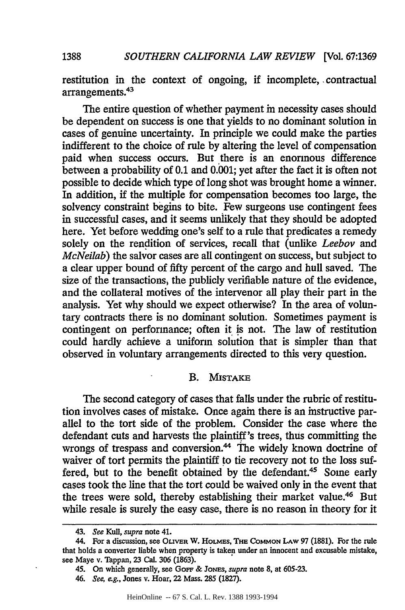restitution in the context of ongoing, if incomplete, contractual arrangements.<sup>43</sup>

The entire question of whether payment in necessity cases should be dependent on success is one that yields to no dominant solution in cases of genuine uncertainty. In principle we could make the parties indifferent to the choice of rule by altering the level of compensation paid when success occurs. But there is an enormous difference between a probability of 0.1 and 0.001; yet after the fact it is often not possible to decide which type of long shot was brought home a winner. In addition, if the multiple for compensation becomes too large, the solvency constraint begins to bite. Few surgeons use contingent fees in successful cases, and it seems unlikely that they should be adopted here. Yet before wedding one's self to a rule that predicates a remedy solely on the rendition of services, recall that (unlike *Leebov* and *McNeilab)* the salvor cases are all contingent on success, but subject to a clear upper bound of fifty percent of the cargo and hull saved. The size of the transactions, the publicly verifiable nature of the evidence, and the collateral motives of the intervenor all play their part in the analysis. Yet why should we expect otherwise? In the area of voluntary contracts there is no dominant solution. Sometimes payment is contingent on performance; often it is not. The law of restitution could hardly achieve a uniform solution that is simpler than that observed in voluntary arrangements directed to this very question.

#### B. MISTAKE

The second category of cases that falls under the rubric of restitution involves cases of mistake. Once again there is an instructive parallel to the tort side of the problem. Consider the case where the defendant cuts and harvests the plaintiff's trees, thus committing the wrongs of trespass and conversion.<sup>44</sup> The widely known doctrine of waiver of tort permits the plaintiff to tie recovery not to the loss suffered, but to the benefit obtained by the defendant.<sup>45</sup> Some early cases took the line that the tort could be waived only in the event that the trees were sold, thereby establishing their market value.<sup>46</sup> But while resale is surely the easy case, there is no reason in theory for it

<sup>43.</sup> *See Kull, supra* note 41.

<sup>44.</sup> For a discussion, see **OLrVER** W. HoLMEs, **THDE COMMON LAW** 97 (1881). For the rule that holds a converter liable when property is taken under an innocent and excusable mistake, see Maye v. Tappan, **23** Cal. **306 (1863).**

*<sup>45.</sup>* On which generally, see GOFF & JoN.s, *supra* note **8,** at **605-23.**

*<sup>46.</sup> See,* e.g., Jones v. Hoar, 22 Mass. **285 (1827).**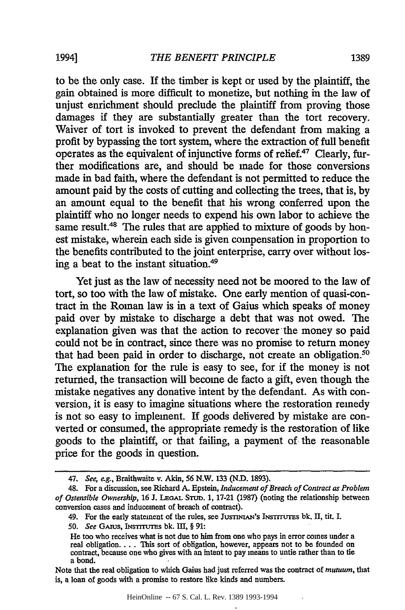to be the only case. If the timber is kept or used **by** the plaintiff, the gain obtained is more difficult to monetize, but nothing in the law of unjust enrichment should preclude the plaintiff from proving those damages if they are substantially greater than the tort recovery. Waiver of tort is invoked to prevent the defendant from making a profit by bypassing the tort system, where the extraction of full benefit operates as the equivalent of injunctive forms of relief. $47$  Clearly, further modifications are, and should be made for those conversions made in bad faith, where the defendant is not permitted to reduce the amount paid by the costs of cutting and collecting the trees, that is, by an amount equal to the benefit that his wrong conferred upon the plaintiff who no longer needs to expend his own labor to achieve the same result.<sup>48</sup> The rules that are applied to mixture of goods by honest mistake, wherein each side is given compensation in proportion to the benefits contributed to the joint enterprise, carry over without losing a beat to the instant situation.<sup>49</sup>

Yet just as the law of necessity need not be moored to the law of tort, so too with the law of mistake. One early mention of quasi-contract in the Roman law is in a text of Gaius which speaks of money paid over by mistake to discharge a debt that was not owed. The explanation given was that the action to recover the money so paid could not be in contract, since there was no promise to return money that had been paid in order to discharge, not create an obligation.<sup>50</sup> The explanation for the rule is easy to see, for if the money is not returned, the transaction will become de facto a gift, even though the mistake negatives any donative intent by the defendant. As with conversion, it is easy to imagine situations where the restoration remedy is not so easy to implement. If goods delivered by mistake are converted or consumed, the appropriate remedy is the restoration of like goods to the plaintiff, or that failing, a payment of the reasonable price for the goods in question.

HeinOnline -- 67 S. Cal. L. Rev. 1389 1993-1994

<sup>47.</sup> *See, eg.,* Braithwaite v. Akin, **56** N.W. 133 (N.D. 1893).

<sup>48.</sup> For a discussion, see Richard **A.** Epstein, *Inducement of Breach of Contract as Problem of Ostensible Ownership,* **16 J. LEGAL** STU. **1, 17-21 (1987)** (noting the relationship between conversion cases and inducement of breach of contract).

<sup>49.</sup> For the early statement of the rules, see JUSTINIAN's INSTITUTES bk, II, tit. I.

**<sup>50.</sup>** *See* Grus, INsTrrurs **bk.** IH, § **91:**

He too who receives what is not due to him from one who pays in error comes under a real obligation.... This sort of obligation, however, appears not to be founded on contract, because one who gives with an intent to pay a bond.

Note that the real obligation to which Gains had just referred was the contract of *mutuum,* that is, a loan of goods with a promise to restore like kinds and numbers.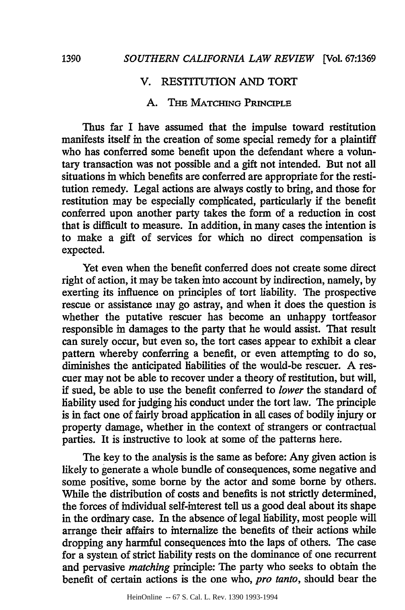## V. RESTITUTION AND TORT

## **A. THE** MATCHING **PRINCIPLE**

Thus far I have assumed that the impulse toward restitution manifests itself in the creation of some special remedy for a plaintiff who has conferred some benefit upon the defendant where a voluntary transaction was not possible and a gift not intended. But not all situations in which benefits are conferred are appropriate for the restitution remedy. Legal actions are always costly to bring, and those for restitution may be especially complicated, particularly if the benefit conferred upon another party takes the form of a reduction in cost that is difficult to measure. In addition, in many cases the intention is to make a gift of services for which no direct compensation is expected.

Yet even when the benefit conferred does not create some direct right of action, it may be taken into account **by** indirection, namely, **by** exerting its influence on principles of tort liability. The prospective rescue or assistance may go astray, and when it does the question is whether the putative rescuer has become an unhappy tortfeasor responsible in damages to the party that he would assist. That result can surely occur, but even so, the tort cases appear to exhibit a clear pattern whereby conferring a benefit, or even attempting to do so, diminishes the anticipated liabilities of the would-be rescuer. A rescuer may not be able to recover under a theory of restitution, but will, if sued, be able to use the benefit conferred to *lower* the standard of liability used for judging his conduct under the tort law. The principle is in fact one of fairly broad application in all cases of bodily injury or property damage, whether in the context of strangers or contractual parties. It is instructive to look at some of the patterns here.

The key to the analysis is the same as before: Any given action is likely to generate a whole bundle of consequences, some negative and some positive, some borne **by** the actor and some borne **by** others. While the distribution of costs and benefits is not strictly determined, the forces of individual self-interest tell us a good deal about its shape in the ordinary case. In the absence of legal liability, most people will arrange their affairs to internalize the benefits of their actions while dropping any harmful consequences into the laps of others. The case for a system of strict liability rests on the dominance of one recurrent and pervasive *matching* principle: The party who seeks to obtain the benefit of certain actions is the one who, *pro tanto,* should bear the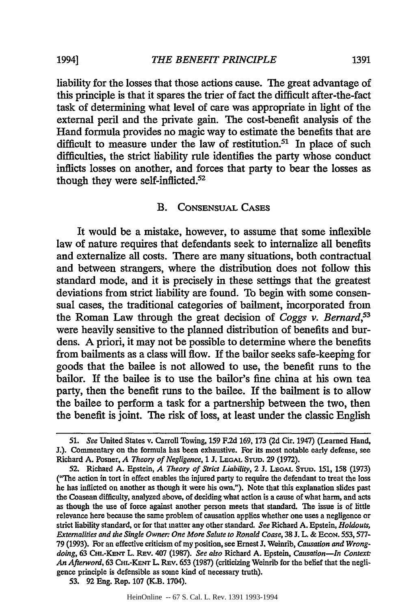liability for the losses that those actions cause. The great advantage of this principle is that it spares the trier of fact the difficult after-the-fact task of determining what level of care was appropriate in light of the external peril and the private gain. The cost-benefit analysis of the Hand formula provides no magic way to estimate the benefits that are difficult to measure under the law of restitution.<sup>51</sup> In place of such difficulties, the strict liability rule identifies the party whose conduct inflicts losses on another, and forces that party to bear the losses as though they were self-inflicted. $52$ 

#### **B.** CONSENSUAL CASES

It would be a mistake, however, to assume that some inflexible law of nature requires that defendants seek to internalize all benefits and externalize all costs. There are many situations, both contractual and between strangers, where the distribution does not follow this standard mode, and it is precisely in these settings that the greatest deviations from strict liability are found. To begin with some consensual cases, the traditional categories of bailment, incorporated from the Roman Law through the great decision of *Coggs v. Bernard,53* were heavily sensitive to the planned distribution of benefits and burdens. **A** priori, it may not be possible to determine where the benefits from bailments as a class will flow. If the bailor seeks safe-keeping for goods that the bailee is not allowed to use, the benefit runs to the bailor. If the bailee is to use the bailor's fine china at his own tea party, then the benefit runs to the bailee. If the bailment is to allow the bailee to perform a task for a partnership between the two, then the benefit is joint. The risk of loss, at least under the classic English

53. 92 Eng. Rep. 107 (K.B. 1704).

*<sup>51.</sup> See* United States v. Carroll Towing, 159 F.2d 169, 173 (2d Cir. 1947) (Learned Hand, J.). Commentary on the formula has been exhaustive. For its most notable early defense, see Richard A. Posner, *A Theory of Negligence,* 1 **J. LEGAL STD.** 29 (1972).

<sup>52.</sup> Richard **A.** Epstein, *A Theory of Strict Liability,* 2 **J. LEGAL** STUD. **151, 158** (1973) ("The action in tort in effect enables the injured party to require the defendant to treat the loss he has inflicted on another as though it were his own."). Note that this explanation slides past the Coasean difficulty, analyzed above, of deciding what action is a cause of what harm, and acts as though the use of force against another person meets that standard. The issue is of little relevance here because the same problem of causation applies whether one uses a negligence or strict liability standard, or for that matter any other standard. *See* Richard A. Epstein, *Holdouts, Externalities and the Single Owner: One More Salute to Ronald Coase,* 38 J. L. & ECON. 553,577- 79 (1993). For an effective criticism of my position, see Ernest J. Weinrib, *Causation and Wrongdoing,* 63 CHi.-KENr L. REv. 407 (1987). *See also* Richard A. Epstein, *Causation-In Context* An Afterword, 63 CHI.-KENT L. REV. 653 (1987) (criticizing Weinrib for the belief that the negligence principle is defensible as some kind of necessary truth).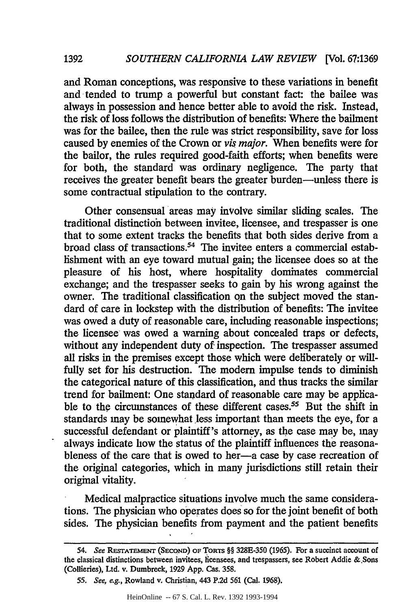and Roman conceptions, was responsive to these variations in benefit and tended to trump a powerful but constant fact: the bailee was always in possession and hence better able to avoid the risk. Instead, the risk of loss follows the distribution of benefits: Where the bailment was for the bailee, then the rule was strict responsibility, save for loss caused by enemies of the Crown or *vis major.* When benefits were for the bailor, the rules required good-faith efforts; when benefits were for both, the standard was ordinary negligence. The party that receives the greater benefit bears the greater burden-unless there is some contractual stipulation to the contrary.

**1392**

Other consensual areas may involve similar sliding scales. The traditional distinctioh between invitee, licensee, and trespasser is one that to some extent tracks the benefits that both sides derive from a broad class of transactions.<sup>54</sup> The invitee enters a commercial establishment with an eye toward mutual gain; the licensee does so at the pleasure of his host, where hospitality dominates commercial exchange; and the trespasser seeks to gain by his wrong against the owner. The traditional classification on the subject moved the standard of care in lockstep with the distribution of benefits: The invitee was owed a duty of reasonable care, including reasonable inspections; the licensee was owed a warning about concealed traps or defects, without any independent duty of inspection. The trespasser assumed all risks in the premises except those which were deliberately or willfully set for his destruction. The modem impulse tends to diminish the categorical nature of this classification, and thus tracks the similar trend for bailment: One standard of reasonable care may be applicable to the circumstances of these different cases.<sup>55</sup> But the shift in standards may be somewhat less important than meets the eye, for a successful defendant or plaintiff's attorney, as the case may be, may always indicate how the status of the plaintiff influences the reasonableness of the care that is owed to her-a case by case recreation of the original categories, which in many jurisdictions still retain their original vitality.

Medical malpractice situations involve much the same considerations. The physician who operates does so for the joint benefit of both sides. The physician benefits from payment and the patient benefits

*<sup>54.</sup> See* **RESTATEMENT (SECOND) OF** ToRTS §§ 328E-350 **(1965).** For a succinct account of the classical distinctions between invitees, licensees, and trespassers, **see** Robert Addie &,Sons (Collieries), Ltd. v. Dumbreck, 1929 App. Cas. 358.

*<sup>55.</sup> See, e.g.,* Rowland v. Christian, 443 P.2d 561 (Cal. 1968).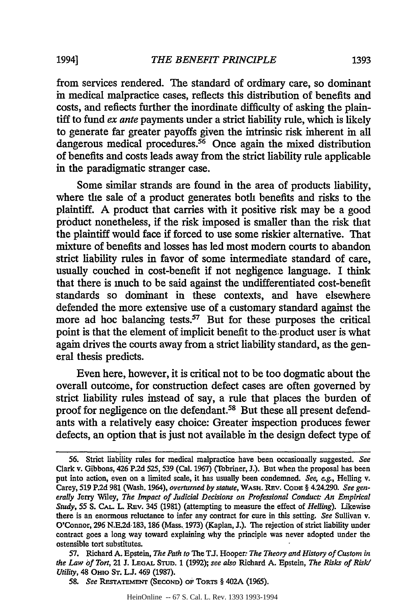from services rendered. The standard of ordinary care, so dominant in medical malpractice cases, reflects this distribution of benefits and costs, and reflects further the inordinate difficulty of asking the plaintiff to fund *ex ante* payments under a strict liability rule, which is likely to generate far greater payoffs given the intrinsic risk inherent in all dangerous medical procedures.<sup>56</sup> Once again the mixed distribution of benefits and costs leads away from the strict liability rule applicable in the paradigmatic stranger case.

Some similar strands are found in the area of products liability, where the sale of a product generates both benefits and risks to the plaintiff. A product that carries with it positive risk may be a good product nonetheless, if the risk imposed is smaller than the risk that the plaintiff would face if forced to use some riskier alternative. That mixture of benefits and losses has led most modern courts to abandon strict liability rules in favor of some intermediate standard of care, usually couched in cost-benefit if not negligence language. I think that there is much to be said against the undifferentiated cost-benefit standards so dominant in these contexts, and have elsewhere defended the more extensive use of a customary standard against the more ad hoc balancing tests.<sup>57</sup> But for these purposes the critical point is that the element of implicit benefit to the.product user is what again drives the courts away from a strict liability standard, as the general thesis predicts.

Even here, however, it is critical not to be too dogmatic about the overall outcome, for construction defect cases are often governed by strict liability rules instead of say, a rule that places the burden of proof for negligence on the defendant.<sup>58</sup> But these all present defendants with a relatively easy choice: Greater inspection produces fewer defects, an option that is just not available in the design defect type of

57. Richard A. Epstein, *The Path to* The **TJ.** Hooper: *The Theory and History of Custom in the Law of Tort,* 21 J. **LEGAL** STu. 1 (1992); *see also* Richard A. Epstein, *The Risks of Risk/ Utility,* 48 OHIo **ST. LJ.** 469 (1987).

*<sup>56.</sup>* Strict liability rules for medical malpractice have been occasionally suggested. See Clark v. Gibbons, 426 P.2d 525,539 (Cal. 1967) (Tobriner, J.). But when the proposal has been put into action, even on a limited scale, it has usually been condemned. See, e.g., Helling v. Carey, 519 P.2d **981** (Wash. 1964), overturned *by* statute, WAsH. REv. CODE § 4.24.290. *See gen*erally Jerry Wiley, *The Impact of Judicial Decisions on Professional Conduct: An Empirical Study,* 55 **S. CAL-** L. REv. 345 (1981) (attempting to measure the effect of *Helling).* Likewise there is an enormous reluctance to infer any contract for cure in this setting. *See* Sullivan v. O'Connor, **296** N.E.2d 183, 186 (Mass. 1973) (Kaplan, J.). The rejection of strict liability under contract goes a long way toward explaining why the principle was never adopted under the ostensible tort substitutes.

**<sup>58.</sup>** *See* **REs-TATEmENT** (SECOND) **OF ToRTs** § 402A (1965).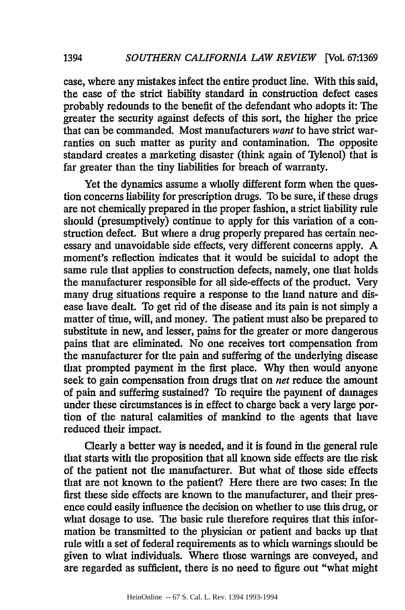case, where any mistakes infect the entire product line. With this said, the ease of the strict liability standard in construction defect cases probably redounds to the benefit of the defendant who adopts it: The greater the security against defects of this sort, the higher the price that can be commanded. Most manufacturers *want* to have strict warranties on such matter as purity and contamination. The opposite standard creates a marketing disaster (think again of Tylenol) that is far greater than the tiny liabilities for breach of warranty.

Yet the dynamics assume a wholly different form when the question concerns liability for prescription drugs. To be sure, if these drugs are not chemically prepared in the proper fashion, a strict liability rule should (presumptively) continue to apply for this variation of a construction defect. But where a drug properly prepared has certain necessary and unavoidable side effects, very different concerns apply. A moment's reflection indicates that it would be suicidal to adopt the same rule that applies to construction defects, namely, one that holds the manufacturer responsible for all side-effects of the product. Very many drug situations require a response to the hand nature and disease have dealt. To get rid of the disease and its pain is not simply a matter of time, will, and money. The patient must also be prepared to substitute in new, and lesser, pains for the greater or more dangerous pains that are eliminated. No one receives tort compensation from the manufacturer for the pain and suffering of the underlying disease that prompted payment in the first place. Why then would anyone seek to gain compensation from drugs that on *net* reduce the amount of pain and suffering sustained? To require the payment of damages under these circumstances is in effect to charge back a very large portion of the natural calamities of mankind to the agents that have reduced their impact.

Clearly a better way is needed, and it is found in the general rule that starts with the proposition that all known side effects are the risk of the patient not the manufacturer. But what of those side effects that are not known to the patient? Here there are two cases: In the first these side effects are known to the manufacturer, and their presence could easily influence the decision on whether to use this drug, or what dosage to use. The basic rule therefore requires that this information be transmitted to the physician or patient and backs up that rule with a set of federal requirements as to which warnings should be given to what individuals. Where those warnings are conveyed, and are regarded as sufficient, there is no need to figure out "what might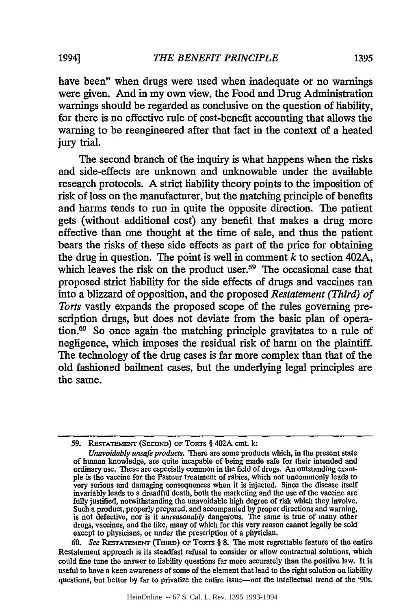have been" when drugs were used when inadequate or no warnings were given. And in my own view, the Food and Drug Administration warnings should be regarded as conclusive on the question of liability, for there is no effective rule of cost-benefit accounting that allows the warning to be reengineered after that fact in the context of a heated jury trial.

The second branch of the inquiry is what happens when the risks and side-effects are unknown and unknowable under the available research protocols. **A** strict liability theory points to the imposition of risk of loss on the manufacturer, but the matching principle of benefits and harms tends to run in quite the opposite direction. The patient gets (without additional cost) any benefit that makes a drug more effective than one thought at the time of sale, and thus the patient bears the risks of these side effects as part of the price for obtaining the drug in question. The point is well in comment  $k$  to section 402A, which leaves the risk on the product user.<sup>59</sup> The occasional case that proposed strict liability for the side effects of drugs and vaccines ran into a blizzard of opposition, and the proposed *Restatement (Third) of Torts* vastly expands the proposed scope of the rules governing prescription drugs, but does not deviate from the basic plan of operation.<sup>60</sup> So once again the matching principle gravitates to a rule of negligence, which imposes the residual risk of harm on the plaintiff. The technology of the drug cases is far more complex than that of the old fashioned bailment cases, but the underlying legal principles are the same.

**60.** *See* **RETATE MNT** (TmiRD) OF TORTS § **8.** The most regrettable feature of the entire Restatement approach is its steadfast refusal to consider or allow contractual solutions, which could fine tune the answer to liability questions far more accurately than the positive law. It is useful to have a keen awareness of some of the element that lead to the right solution on liability questions, but better **by** far to privatize the entire issue-not the intellectual trend of the '90s.

**<sup>59.</sup> REsTATEMENT** (SEcoND) **OF TORTS** § 402A cmt. **k:**

*Unavoidably unsafe products.* There are some products which, in the present state of human knowledge, are quite incapable of being made safe for their intended and ordinary use. These are especially common in the field of drugs. An outstanding exam **ple** is the vaccine for the Pasteur treatment of rabies, which not uncommonly leads to very serious and damaging consequences when it is injected. Since the disease itself invariably leads to a dreadful death, both the marketing and the use of the vaccine are fully justified, notwithstanding the unavoidable high degree of risk which they involve. Such a product, properly prepared, and accompanied **by** proper directions and warning, is not defective, nor is it *unreasonably* dangerous. The same is true of many other drugs, vaccines, and the like, many of which for this very reason cannot legally be sold except to physicians, or under the prescription of a physician.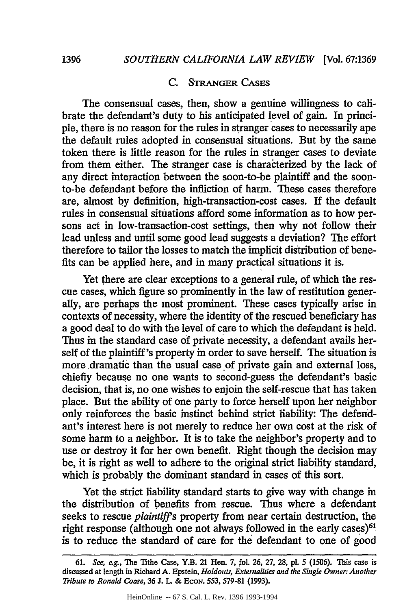#### **C.** STRANGER **CASES**

The consensual cases, then, show a genuine willingness to calibrate the defendant's duty to his anticipated level of gain. In principle, there is no reason for the rules in stranger cases to necessarily ape the default rules adopted in consensual situations. But by the same token there is little reason for the rules in stranger cases to deviate from them either. The stranger case is characterized by the lack of any direct interaction between the soon-to-be plaintiff and the soonto-be defendant before the infliction of harm. These cases therefore are, almost by definition, high-transaction-cost cases. If the default rules in consensual situations afford some information as to how persons act in low-transaction-cost settings, then why not follow their lead unless and until some good lead suggests a deviation? The effort therefore to tailor the losses to match the implicit distribution of benefits can be applied here, and in many practical situations it is.

Yet there are clear exceptions to a general rule, of which the rescue cases, which figure so prominently in the law of restitution generally, are perhaps the most prominent. These cases typically arise in contexts of necessity, where the identity of the rescued beneficiary has a good deal to do with the level of care to which the defendant is held. Thus in the standard case of private necessity, a defendant avails herself of the plaintiff's property in order to save herself. The situation is more ,dramatic than the usual case of private gain and external loss, chiefly because no one wants to second-guess the defendant's basic decision, that is, no one wishes to enjoin the self-rescue that has taken place. But the ability of one party to force herself upon her neighbor only reinforces the basic instinct behind strict liability: The defendant's interest here is not merely to reduce her own cost at the risk of some harm to a neighbor. It is to take the neighbor's property and to use or destroy it for her own benefit. Right though the decision may be, it is right as well to adhere to the original strict liability standard, which is probably the dominant standard in cases of this sort.

Yet the strict hability standard starts to give way with change in the distribution of benefits from rescue. Thus where a defendant seeks to rescue *plaintiffs* property from near certain destruction, the right response (although one not always followed in the early cases)<sup>61</sup> is to reduce the standard of care for the defendant to one of good

<sup>61.</sup> *See, e.g.,* The Tithe Case, Y.B. 21 Hen. 7, fol. **26, 27,** 28, **pl.** *5* (1506). This case is discussed at length in Richard A. Epstein, *Holdouts, Externalities and the Single Owner: Another Tribute to Ronald Coase,* 36 J. L. & **EcoN.** 553, 579-81 (1993).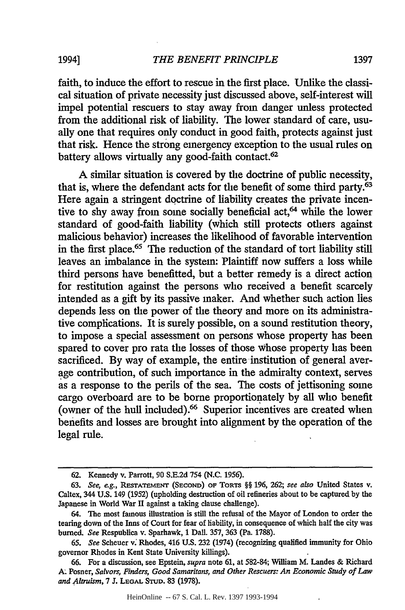faith, to induce the effort to rescue in the first place. Unlike the classical situation of private necessity just discussed above, self-interest will impel potential rescuers to stay away from danger unless protected from the additional risk of liability. The lower standard of care, usually one that requires only conduct in good faith, protects against just that risk. Hence the strong emergency exception to the usual rules on battery allows virtually any good-faith contact.<sup>62</sup>

A similar situation is covered by the doctrine of public necessity, that is, where the defendant acts for the benefit of some third party.<sup>63</sup> Here again a stringent doctrine of liability creates the private incentive to shy away from some socially beneficial act,<sup>64</sup> while the lower standard of good-faith liability (which still protects others against malicious behavior) increases the likelihood of favorable intervention in the first place.<sup>65</sup> The reduction of the standard of tort liability still leaves an imbalance in the system: Plaintiff now suffers a loss while third persons have benefitted, but a better remedy is a direct action for restitution against the persons who received a benefit scarcely intended as a gift by its passive maker. And whether such action lies depends less on the power of the theory and more on its administrative complications. It is surely possible, on a sound restitution theory, to impose a special assessment on persons whose property has been spared to cover pro rata the losses of those Whose property has been sacrificed. By way of example, the entire institution of general average contribution, of such importance in the admiralty context, serves as a response to the perils of the sea. The costs of jettisoning some cargo overboard are to be borne proportionately by all who benefit (owner of the hull included).66 Superior incentives are created when benefits and losses are brought into alignment by the operation of the legal rule.

HeinOnline -- 67 S. Cal. L. Rev. 1397 1993-1994

<sup>62.</sup> Kennedy v. Parrott, **90** S.E.2d 754 (N.C. 1956).

<sup>63.</sup> *See, eg.,* **RESTATEMENT (SECOND) OF** TORTS §§ 196, 262; see also United States v. Caltex, 344 U.S. 149 (1952) (upholding destruction of oil refineries about to be captured by the Japanese in World War II against a taking clause challenge).

<sup>64.</sup> The most famous illustration is still the refusal of the Mayor of London to order the tearing down of the Inns of Court for fear of liability, in consequence of which half the city was burned. *See* Respublica v. Sparhawk, **1** Dall. 357, 363 (Pa. 1788).

*<sup>65.</sup> See* Scheuer v. Rhodes, 416 U.S. 232 (1974) (recognizing qualified immunity for Ohio governor Rhodes in Kent State University killings).

<sup>66.</sup> For a discussion, see Epstein, *supra* note **61,** at 582-84; William M. Landes & Richard **A.** Posner, *Salvors, Finders, Good Samaritans, and Other Rescuers: An Economic Study of Law and Altruism,* 7 **J. LEGAL STUD.** 83 (1978).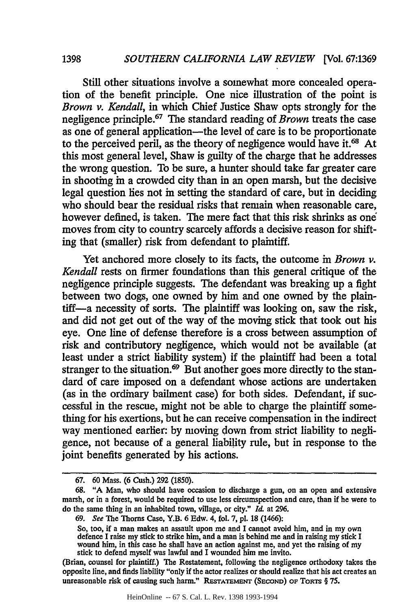Still other situations involve a somewhat more concealed operation of the benefit principle. One nice illustration of the point is *Brown v. Kendall,* in which Chief Justice Shaw opts strongly for the negligence principle. 67 The standard reading of *Brown* treats the case as one of general application-the level of care is to be proportionate to the perceived peril, as the theory of negligence would have it.<sup>68</sup> At this most general level, Shaw is guilty of the charge that he addresses the wrong question. To be sure, a hunter should take far greater care in shooting in a crowded city than in an open marsh, but the decisive legal question lies not in setting the standard of care, but in deciding who should bear the residual risks that remain when reasonable care, however defined, is taken. The mere fact that this risk shrinks as one moves from city to country scarcely affords a decisive reason for shifting that (smaller) risk from defendant to plaintiff.

Yet anchored more closely to its facts, the outcome in *Brown v*. *Kendall* rests on firmer foundations than this general critique of the negligence principle suggests. The defendant was breaking up a fight between two dogs, one owned by him and one owned by the plaintiff-a necessity of sorts. The plaintiff was looking on, saw the risk, and did not get out of the way of the moving stick that took out his eye. One line of defense therefore is a cross between assumption of risk and contributory negligence, which would not be available (at least under a strict liability system) if the plaintiff had been a total stranger to the situation.<sup>69</sup> But another goes more directly to the standard of care imposed on a defendant whose actions are undertaken (as in the ordinary bailment case) for both sides. Defendant, if successful in the rescue, might not be able to charge the plaintiff something for his exertions, but he can receive compensation in the indirect way mentioned earlier: by moving down from strict liability to negligence, not because of a general liability rule, but in response to the joint benefits generated by his actions.

**<sup>67.</sup>** 60 Mass. (6 Cush.) **292** (1850).

<sup>68. &</sup>quot;A Man, who should have occasion to discharge a gun, on an open and extensive marsh, or in a forest, would be required to use less circumspection and care, than if he were to do the same thing in an inhabited town, village, or city." *Id.* at 296.

<sup>69.</sup> *See* The Thorns Case, Y.B. 6 Edw. 4, fol. 7, **pl.** 18 (1466):

So, too, if a man makes an assault upon me and I cannot avoid him, and in my own defence I raise my stick to strike him, and a man is behind me and in raising my stick I wound him, in this case he shall have an action against me, and yet the raising of my stick to defend myself was lawful and I wounded him me invito.

<sup>(</sup>Brian, counsel for plaintiff.) The Restatement, following the negligence orthodoxy takes the opposite line, and finds liability "only if the actor realizes or should realize that his act creates an unreasonable risk of causing such harm." **REsTATEmENT (SECOND)** OF **ToRTs** § 75.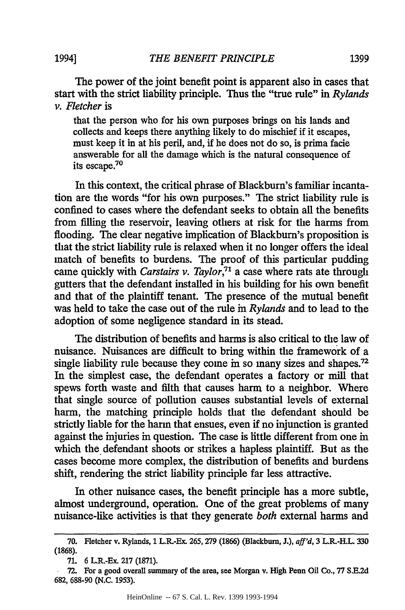*THE BENEFIT PRINCIPLE* 1994] **1399**

The power of the joint benefit point is apparent also in cases that start with the strict liability principle. Thus the "true rule" in *Rylands v. Fletcher* is

that the person who for his own purposes brings on his lands and collects and keeps there anything likely to do mischief if it escapes, must keep it in at his peril, and, if he does not do so, is prima facie answerable for all the damage which is the natural consequence of its escape.70

In this context, the critical phrase of Blackburn's familiar incantation are the words "for his own purposes." The strict liability rule is confined to cases where the defendant seeks to obtain all the benefits from filling the reservoir, leaving others at risk for the harms from flooding. The clear negative implication of Blackburn's proposition is that the strict liability rule is relaxed when it no longer offers the ideal match of benefits to burdens. The proof of this particular pudding came quickly with *Carstairs v. Taylor,7* a case where rats ate through gutters that the defendant installed in his building for his own benefit and that of the plaintiff tenant. The presence of the mutual benefit was held to take the case out of the rule in *Rylands* and to lead to the adoption of some negligence standard in its stead.

The distribution of benefits and harms is also critical to the law of nuisance. Nuisances are difficult to bring within the framework of a single liability rule because they come in so many sizes and shapes.<sup>72</sup> In the simplest case, the defendant operates a factory or mill that spews forth waste and filth that causes harm to a neighbor. Where that single source of pollution causes substantial levels of external harm, the matching principle holds that the defendant should be strictly liable for the harm that ensues, even if no injunction is granted against the injuries in question. The case is little different from one in which the defendant shoots or strikes a hapless plaintiff. But as the cases become more complex, the distribution of benefits and burdens shift, rendering the strict liability principle far less attractive.

In other nuisance cases, the benefit principle has a more subtle, almost underground, operation. One of the great problems of many nuisance-like activities is that they generate *both* external harms and

**<sup>70.</sup>** Fletcher v. Rylands, 1 L.R.-Ex. 265, **279** (1866) (Blackburn, **J.),** aff'd, 3 L.R.-H.L. **330 (1868).**

**<sup>71. 6</sup>** L.R.-Ex. **217 (1871).**

**<sup>72.</sup>** For a good overall summary of the area, see Morgan v. High Penn Oil Co., 77 **S.E.2d 682,** 688-90 **(N.C.** 1953).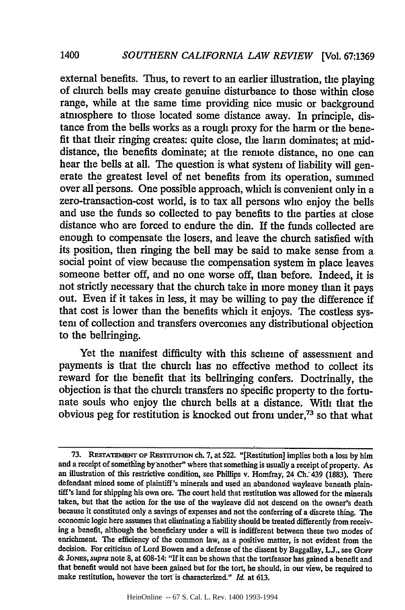external benefits. Thus, to revert to an earlier illustration, the playing of church bells may create genuine disturbance to those within close range, while at the same time providing nice music or background atmosphere to those located some distance away. In principle, distance from the bells works as a rough proxy for the harm or the benefit that their ringing creates: quite close, the harm dominates; at middistance, the benefits dominate; at the remote distance, no one can hear the bells at all. The question is what system of liability will generate the greatest level of net benefits from its operation, summed over all persons. One possible approach, which is convenient only in a zero-transaction-cost world, is to tax all persons who enjoy the bells and use the funds so collected to pay benefits to the parties at close distance who are forced to endure the din. If the funds collected are enough to compensate the losers, and leave the church satisfied with its position, then ringing the bell may be said to make sense from a social point of view because the compensation system in place leaves someone better off, and no one worse off, than before. Indeed, it is not strictly necessary that the church take in more money than it pays out. Even if it takes in less, it may be willing to pay the difference if that cost is lower than the benefits which it enjoys. The costless system of collection and transfers overcomes any distributional objection to the bellringing.

Yet the manifest difficulty with this scheme of assessment and payments is that the church has no effective method to collect its reward for the benefit that its bellringing confers. Doctrinally, the objection is that the church transfers no specific property to the fortunate souls who enjoy the church bells at a distance. With that the obvious peg for restitution is knocked out from under,73 so that what

HeinOnline -- 67 S. Cal. L. Rev. 1400 1993-1994

**<sup>73.</sup> REsTATEMEmr OF REsTrrmON** ch. **7,** at **522.** "[Restitution] implies both a loss **by** him and a receipt of sometiing by another" where that something is usually a receipt of property. As an illustration of this restrictive condition, see Phillips v. Homfray, 24 Ch. 439 (1883). There defendant mined some of plaintiff's minerals and used an abandoned wayleave beneath plain- tiff's land for shipping his own ore. The court held that restitution was allowed for the minerals taken, but that the action for the use of the wayleave did not descend on the owner's death because it constituted only a savings of expenses and not the conferring of a discrete thing. The economic logic here assumes that eliminating a liability should be treated differently from receiving a benefit, although the beneficiary under a will is indifferent between these two modes of enrichment. The efficiency of the common law, as a positive matter, is not evident from the decision. For criticism of Lord Bowen and a defense of the dissent by Baggallay,  $LJ<sub>1</sub>$ , see GoFF & **JONES,** *supra* note 8, at 608-14: "If it can be shown that the tortfeasor has gained a benefit and that benefit would not have been gained but for the tort, he should, in our view, be required to make restitution, however the tort'is characterized." **Id** at 613.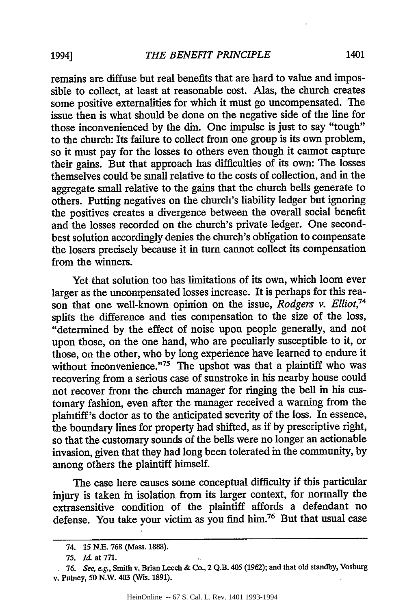remains are diffuse but real benefits that are hard to value and impossible to collect, at least at reasonable cost. Alas, the church creates some positive externalities for which it must go uncompensated. The issue then is what should be done on the negative side of the line for those inconvenienced by the din. One impulse is just to say "tough" to the church: Its failure to collect from one group is its own problem, so it must pay for the losses to others even though it cannot capture their gains. But that approach has difficulties of its own: The losses themselves could be small relative to the costs of collection, and in the aggregate small relative to the gains that the church bells generate to others. Putting negatives on the church's liability ledger but ignoring the positives creates a divergence between the overall social benefit and the losses recorded on the church's private ledger. One secondbest solution accordingly denies the church's obligation to compensate the losers precisely because it in turn cannot collect its compensation from the winners.

Yet that solution too has limitations of its own, which loom ever larger as the uncompensated losses increase. It is perhaps for this reason that one well-known opinion on the issue, *Rodgers v. Elliot,74* splits the difference and ties compensation to the size of the loss, "determined by the effect of noise upon people generally, and not upon those, on the one hand, who are peculiarly susceptible to it, or those, on the other, who by long experience have learned to endure it without inconvenience."<sup> $75$ </sup> The upshot was that a plaintiff who was recovering from a serious case of sunstroke in his nearby house could not recover from the church manager for ringing the bell in his customary fashion, even after the manager received a warning from the plaintiff's doctor as to the anticipated severity of the loss. In essence, the boundary lines for property had shifted, as if by prescriptive right, so that the customary sounds of the bells were no longer an actionable invasion, given that they had long been tolerated in the community, by among others the plaintiff himself.

The case here causes some conceptual difficulty if this particular injury is taken in isolation from its larger context, for normally the extrasensitive condition of the plaintiff affords a defendant no defense. You take your victim as you find him.<sup>76</sup> But that usual case

<sup>74. 15</sup> N.E. **768** (Mass. **1888).**

**<sup>75.</sup>** Id. at **771.**

<sup>76.</sup> *See, e.g.,* Smith v. Brian Leech & Co., 2 Q.B. 405 (1962); and that old standby, Vosburg v. Putney, 50 *N.W.* 403 (Wis. 1891).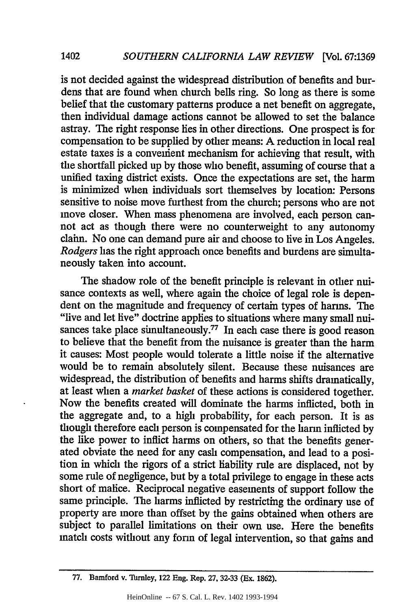1402

is not decided against the widespread distribution of benefits and burdens that are found when church bells ring. So long as there is some belief that the customary patterns produce a net benefit on aggregate, then individual damage actions cannot be allowed to set the balance astray. The right response lies in other directions. One prospect is for compensation to be supplied by other means: A reduction in local real estate taxes is a convenient mechanism for achieving that result, with the shortfall picked up by those who benefit, assuming of course that a unified taxing district exists. Once the expectations are set, the harm is minimized when individuals sort themselves by location: Persons sensitive to noise move furthest from the church; persons who are not move closer. When mass phenomena are involved, each person cannot act as though there were no counterweight to any autonomy claim. No one can demand pure air and choose to live in Los Angeles. *Rodgers* has the right approach once benefits and burdens are simultaneously taken into account.

The shadow role of the benefit principle is relevant in other nuisance contexts as well, where again the choice of legal role is dependent on the magnitude and frequency of certain types of harms. The "live and let live" doctrine applies to situations where many small nuisances take place simultaneously.<sup>77</sup> In each case there is good reason to believe that the benefit from the nuisance is greater than the harm it causes: Most people would tolerate a little noise if the alternative would be to remain absolutely silent. Because these nuisances are widespread, the distribution of benefits and harms shifts dramatically, at least when a *market basket* of these actions is considered together. Now the benefits created will dominate the harms inflicted, both in the aggregate and, to a high probability, for each person. It is as though therefore each person is compensated for the harm inflicted by the like power to inflict harms on others, so that the benefits generated obviate the need for any cash compensation, and lead to a position in which the rigors of a strict liability rule are displaced, not by some rule of negligence, but by a total privilege to engage in these acts short of malice. Reciprocal negative easements of support follow the same principle. The harms inflicted by restricting the ordinary use of property are more than offset by the gains obtained when others are subject to parallel limitations on their own use. Here the benefits match costs without any form of legal intervention, so that gains and

<sup>77.</sup> Bamford v. Tarnley, 122 Eng. Rep. 27, 32-33 (Ex. 1862).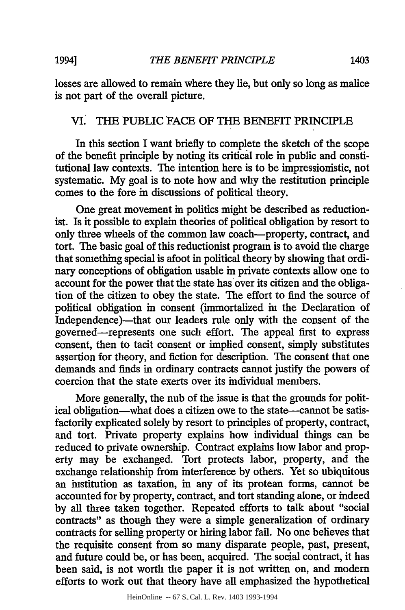losses are allowed to remain where they lie, but only so long as malice is not part of the overall picture.

## **Vi.** THE PUBLIC FACE OF THE BENEFIT PRINCIPLE

In this section I want briefly to complete the sketch of the scope of the benefit principle by noting its critical role in public and constitutional law contexts. The intention here is to be impressionistic, not systematic. My goal is to note how and why the restitution principle comes to the fore in discussions of political theory.

One great movement in politics might be described as reductionist. Is it possible to explain theories of political obligation by resort to only three wheels of the common law coach-property, contract, and tort. The basic goal of this reductionist program is to avoid the charge that something special is afoot in political theory by showing that ordinary conceptions of obligation usable in private contexts allow one to account for the power that the state has over its citizen and the obligation of the citizen to obey the state. The effort to find the source of political obligation in consent (immortalized in the Declaration of Independence)-that our leaders rule only with the consent of the governed-represents one such effort. The appeal first to express consent, then to tacit consent or implied consent, simply substitutes assertion for theory, and fiction for description. The consent that one demands and finds in ordinary contracts cannot justify the powers of coercion that the state exerts over its individual members.

More generally, the nub of the issue is that the grounds for political obligation-what does a citizen owe to the state-cannot be satisfactorily explicated solely by resort to principles of property, contract, and tort. Private property explains how individual things can be reduced to private ownership. Contract explains how labor and property may be exchanged. Tort protects labor, property, and the exchange relationship from interference by others. Yet so ubiquitous an institution as taxation, in any of its protean forms, cannot be accounted for by property, contract, and tort standing alone, or indeed by all three taken together. Repeated efforts to talk about "social contracts" as though they were a simple generalization of ordinary contracts for selling property or hiring labor fail. No one believes that the requisite consent from so many disparate people, past, present, and future could be, or has been, acquired. The social contract, it has been said, is not worth the paper it is not written on, and modern efforts to work out that theory have all emphasized the hypothetical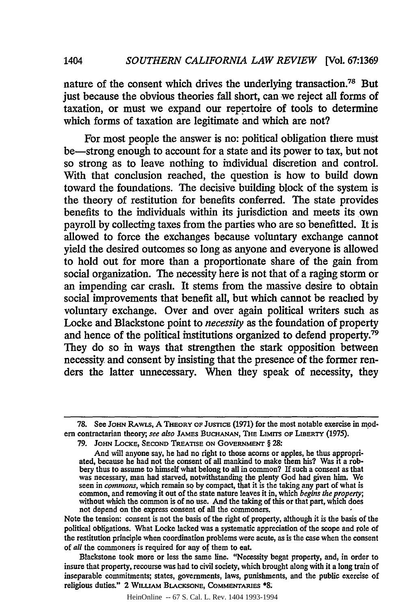nature of the consent which drives the underlying transaction.78 But just because the obvious theories fall short, can we reject all forms of taxation, or must we expand our repertoire of tools to determine which forms of taxation are legitimate and which are not?

1404

For most people the answer is no: political obligation there must be-strong enough to account for a state and its power to tax, but not so strong as to leave nothing to individual discretion and control. With that conclusion reached, the question is how to build down toward the foundations. The decisive building block of the system is the theory of restitution for benefits conferred. The state provides benefits to the individuals within its jurisdiction and meets its own payroll **by** collecting taxes from the parties who are so benefitted. It is allowed to force the exchanges because voluntary exchange cannot yield the desired outcomes so long as anyone and everyone is allowed to hold out for more than a proportionate share of the gain from social organization. The necessity here is not that of a raging storm or an impending car crash. It stems from the massive desire to obtain social improvements that benefit all, but which cannot be reached **by** voluntary exchange. Over and over again political writers such as Locke and Blackstone point to *necessity* as the foundation of property and hence of the political institutions organized to defend property.79 They do so in ways that strengthen the stark opposition between necessity and consent **by** insisting that the presence of the former renders the latter unnecessary. When they speak of necessity, they

Note the tension: consent is not the basis of the right of property, although it is the basis of the political obligations. What Locke lacked was a systematic appreciation of the scope and role of the restitution principle when coordination problems were acute, as is the case when the consent of *all* the commoners is required for any of them to eat.

Blackstone took more or less the same line. "Necessity begat property, and, in order to insure that property, recourse was had to civil society, which brought along with it a long train of inseparable commitments; states, governments, laws, punishments, and the public exercise of religious duties." 2 **WILLIAM BLACKSONE, COMMENTARIES \*8**

HeinOnline -- 67 S. Cal. L. Rev. 1404 1993-1994

**<sup>78.</sup>** See **JOHN** RAWLS, **A** THEORY **OF JUsnCE (1971)** for the most notable exercise in modern contractarian theory; see also JAMES BUCHANAN, THE LIMITS OF LIBERTY (1975).

**<sup>79.</sup> JoHN** LOCKE, **SECOND TREATISE ON GOVERNMENT** § **28:**

And will anyone say, he had no right to those acorns or apples, he thus appropriated, because he had not the consent of all mankind to make them his? Was it a robbery thus to assume to himself what belong to all in common? **If** such a consent as that was necessary, man had starved, notwithstanding the plenty God had given him. **We** seen in *commons,* which remain so **by** compact, that it is the taking any part of what is common, and removing it out of the state nature leaves it in, which *begins the property;* without which the common is of no use. And the taking of this or that part, which does not depend on the express consent of all the commoners.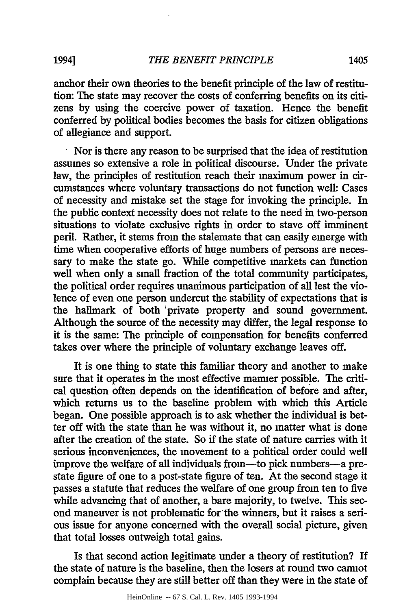anchor their own theories to the benefit principle of the law of restitution: The state may recover the costs of conferring benefits on its citizens by using the coercive power of taxation. Hence the benefit conferred by political bodies becomes the basis for citizen obligations of allegiance and support.

Nor is there any reason to be surprised that the idea of restitution assumes so extensive a role in political discourse. Under the private law, the principles of restitution reach their maximum power in circumstances where voluntary transactions do not function well: Cases of necessity and mistake set the stage for invoking the principle. In the public context necessity does not relate to the need in two-person situations to violate exclusive rights in order to stave off imminent peril. Rather, it stems from the stalemate that can easily emerge with time when cooperative efforts of huge numbers of persons are necessary to make the state go. While competitive markets can function well when only a small fraction of the total community participates, the political order requires unanimous participation of all lest the violence of even one person undercut the stability of expectations that is the hallmark of both 'private property and sound government. Although the source of the necessity may differ, the legal response to it is the same: The principle of compensation for benefits conferred takes over where the principle of voluntary exchange leaves off.

It is one thing to state this familiar theory and another to make sure that it operates in the most effective manner possible. The critical question often depends on the identification of before and after, which returns us to the baseline problem with which this Article began. One possible approach is to ask whether the individual is better off with the state than he was without it, no matter what is done after the creation of the state. So if the state of nature carries with it serious inconveniences, the movement to a political order could well improve the welfare of all individuals from-to pick numbers-a prestate figure of one to a post-state figure of ten. At the second stage it passes a statute that reduces the welfare of one group from ten to five while advancing that of another, a bare majority, to twelve. This second maneuver is not problematic for the winners, but it raises a serious issue for anyone concerned with the overall social picture, given that total losses outweigh total gains.

Is that second action legitimate under a theory of restitution? If the state of nature is the baseline, then the losers at round two cannot complain because they are still better off than they were in the state of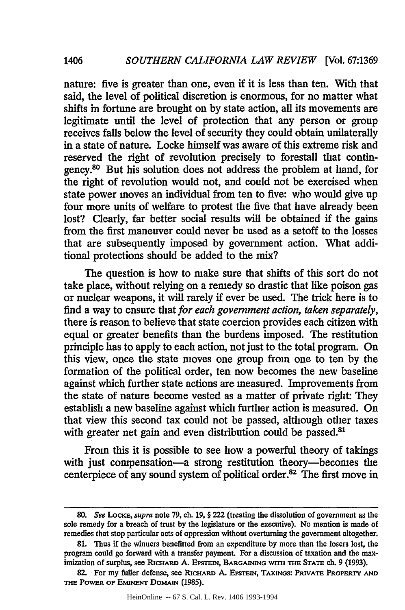nature: five is greater than one, even if it is less than ten. With that said, the level of political discretion is enormous, for no matter what shifts in fortune are brought on by state action, all its movements are legitimate until the level of protection that any person or group receives falls below the level of security they could obtain unilaterally in a state of nature. Locke himself was aware of this extreme risk and reserved the right of revolution precisely to forestall that contingency.80 But his solution does not address the problem at hand, for the right of revolution would not, and could not be exercised when state power moves an individual from ten to five: who would give up four more units of welfare to protest the five that have already been lost? Clearly, far better social results will be obtained if the gains from the first maneuver could never be used as a setoff to the losses that are subsequently imposed by government action. What additional protections should be added to the mix?

1406

The question is how to make sure that shifts of this sort do not take place, without relying on a remedy so drastic that like poison gas or nuclear weapons, it will rarely if ever be used. The trick here is to find a way to ensure that *for each government action, taken separately,* there is reason to believe that state coercion provides each citizen with equal or greater benefits than the burdens imposed. The restitution principle has to apply to each action, not just to the total program. On this view, once the state moves one group from one to ten by the formation of the political order, ten now becomes the new baseline against which further state actions are measured. Improvements from the state of nature become vested as a matter of private right: They establish a new baseline against which further action is measured. On that view this second tax could not be passed, although other taxes with greater net gain and even distribution could be passed.<sup>81</sup>

From this it is possible to see how a powerful theory of takings with just compensation-a strong restitution theory-becomes the centerpiece of any sound system of political order. $^{82}$  The first move in

HeinOnline -- 67 S. Cal. L. Rev. 1406 1993-1994

*<sup>80.</sup> See LocKE, supra* note 79, ch. 19, § 222 (treating the dissolution of government as the sole remedy for a breach of trust by the legislature or the executive). No mention is made of remedies that stop particular acts of oppression without overturning the government altogether.

<sup>81.</sup> Thus if the winners benefitted from an expenditure by more than the losers lost, the program could go forward with a transfer payment. For a discussion of taxation and the maximization of surplus, see RicHARD A. **EPSTEIN, BARGAINING wrr THE STATE** ch. 9 (1993).

<sup>82.</sup> For my fuller defense, see RICHARD A. EPSTEIN, TAKINGS: PRIVATE PROPERTY AND **THE** POWER OF **EMINENT** DOMAIN (1985).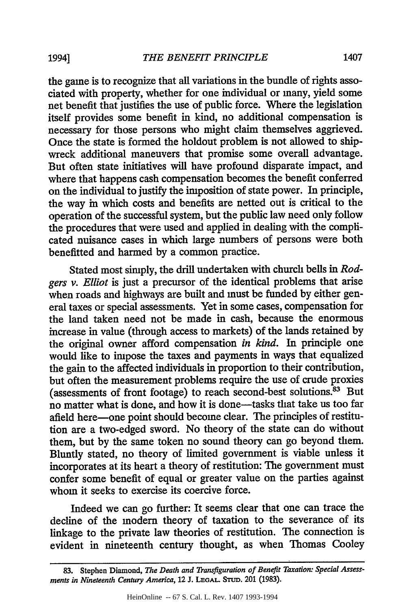the game is to recognize that all variations in the bundle of rights associated with property, whether for one individual or many, yield some net benefit that justifies the use of public force. Where the legislation itself provides some benefit in kind, no additional compensation is necessary for those persons who might claim themselves aggrieved. Once the state is formed the holdout problem is not allowed to shipwreck additional maneuvers that promise some overall advantage. But often state initiatives will have profound disparate impact, and where that happens cash compensation becomes the benefit conferred on the individual to justify the imposition of state power. In principle, the way in which costs and benefits are netted out is critical to the operation of the successful system, but the public law need only follow the procedures that were used and applied in dealing with the complicated nuisance cases in which large numbers of persons were both benefitted and harmed by a common practice.

Stated most simply, the drill undertaken with church bells in *Rodgers v. Elliot* is just a precursor of the identical problems that arise when roads and highways are built and must be funded by either general taxes or special assessments. Yet in some cases, compensation for the land taken need not be made in cash, because the enormous increase in value (through access to markets) of the lands retained by the original owner afford compensation *in kind.* In principle one would like to impose the taxes and payments in ways that equalized the gain to the affected individuals in proportion to their contribution, but often the measurement problems require the use of crude proxies (assessments of front footage) to reach second-best solutions.<sup>83</sup> But no matter what is done, and how it is done-tasks that take us too far afield here-one point should become clear. The principles of restitution are a two-edged sword. No theory of the state can do without them, but by the same token no sound theory can go beyond them. Bluntly stated, no theory of limited government is viable unless it incorporates at its heart a theory of restitution: The government must confer some benefit of equal or greater value on the parties against whom it seeks to exercise its coercive force.

Indeed we can go further: It seems clear that one can trace the decline of the modem theory of taxation to the severance of its linkage to the private law theories of restitution. The connection is evident in nineteenth century thought, as when Thomas Cooley

**<sup>83.</sup>** Stephen Diamond, *The Death and Transfiguration of Benefit Taxation: Special Assessments in Nineteenth Century America,* 12 J. **LEGAL STUD.** 201 (1983).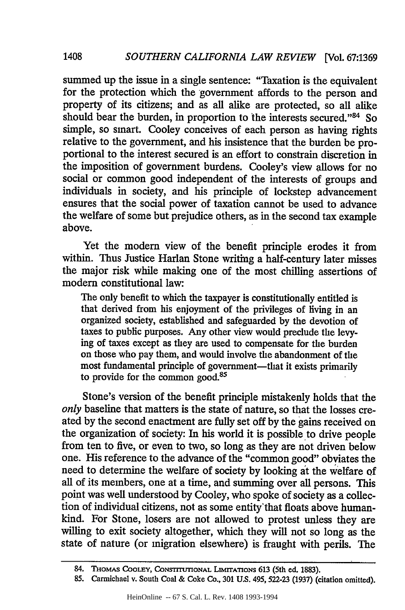summed up the issue in a single sentence: "Taxation is the equivalent for the protection which the government affords to the person and property of its citizens; and as all alike are protected, so all alike should bear the burden, in proportion to the interests secured."<sup>84</sup> So simple, so smart. Cooley conceives of each person as having rights relative to the government, and his insistence that the burden be proportional to the interest secured is an effort to constrain discretion in the imposition of government burdens. Cooley's view allows for no social or common good independent of the interests of groups and individuals in society, and his principle of lockstep advancement ensures that the social power of taxation cannot be used to advance the welfare of some but prejudice others, as in the second tax example above.

1408

Yet the modem view of the benefit principle erodes it from within. Thus Justice Harlan Stone writing a half-century later misses the major risk while making one of the most chilling assertions of modem constitutional law:

The only benefit to which the taxpayer is constitutionally entitled is that derived from his enjoyment of the privileges of living in an organized society, established and safeguarded by the devotion of taxes to public purposes. *Any* other view would preclude the levy- ing of taxes except as they are used to compensate for the burden on those who pay them, and would involve the abandonment of the most fundamental principle of government-that it exists primarily to provide for the common good.85

Stone's version of the benefit principle mistakenly holds that the *only* baseline that matters is the state of nature, so that the losses created by the second enactment are fully set off by the gains received on the organization of society: In his world it is possible to drive people from ten to five, or even to two, so long as they are not driven below one. His reference to the advance of the "common good" obviates the need to determine the welfare of society by looking at the welfare **of** all of its members, one at a time, and summing over all persons. This point was well understood by Cooley, who spoke of society as a collection of individual citizens, not as some entity'that floats above humankind. For Stone, losers are not allowed to protest unless they are willing to exit society altogether, which they will not so long as the state of nature (or migration elsewhere) is fraught with perils. The

<sup>84.</sup> THOMAS **COOLEY, CONSTITUTIONAL LIMITATIONS 613** (5th ed. **1883).**

<sup>85.</sup> Carmichael v. South Coal & Coke Co., 301 U.S. 495,522-23 (1937) (citation omitted).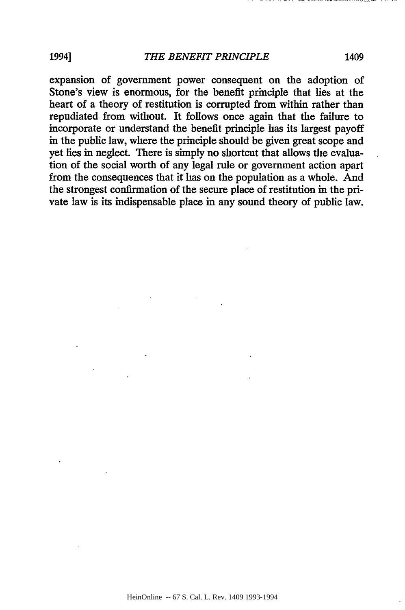expansion of government power consequent on the adoption of Stone's view is enormous, for the benefit principle that lies at the heart of a theory of restitution is corrupted from within rather than repudiated from without. It follows once again that the failure to incorporate or understand the benefit principle has its largest payoff in the public law, where the principle should be given great scope and yet lies in neglect. There is simply no shortcut that allows the evaluation of the social worth of any legal rule or government action apart from the consequences that it has on the population as a whole. And the strongest confirmation of the secure place of restitution in the private law is its indispensable place in any sound theory of public law.